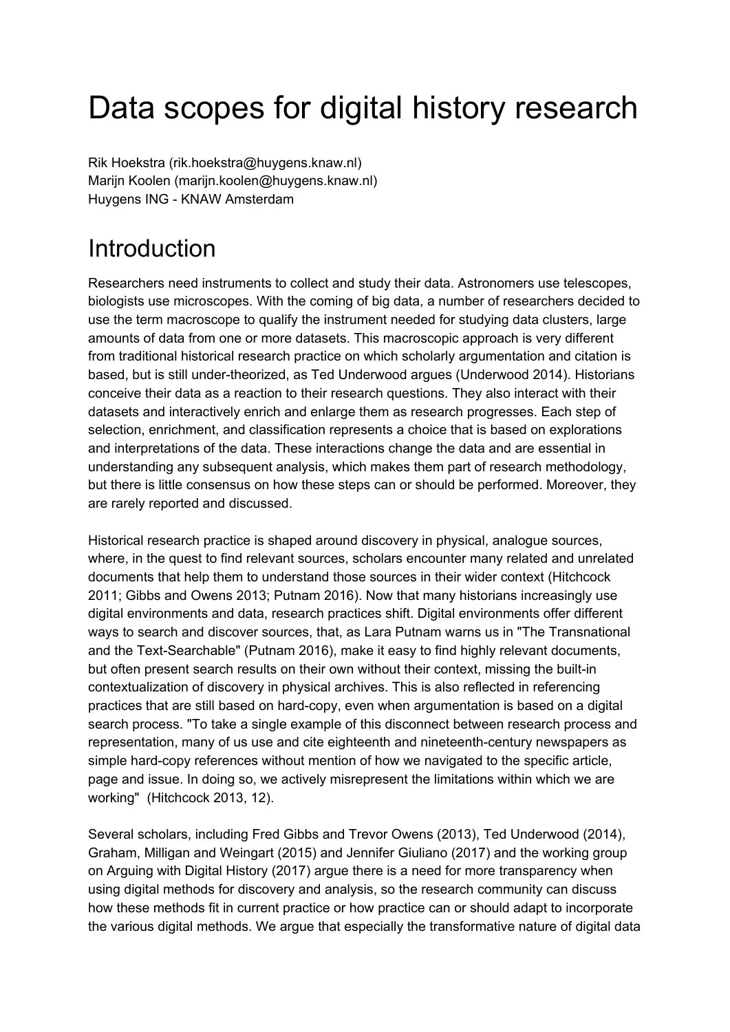# Data scopes for digital history research

Rik Hoekstra (rik.hoekstra@huygens.knaw.nl) Marijn Koolen (marijn.koolen@huygens.knaw.nl) Huygens ING - KNAW Amsterdam

# **Introduction**

Researchers need instruments to collect and study their data. Astronomers use telescopes, biologists use microscopes. With the coming of big data, a number of researchers decided to use the term macroscope to qualify the instrument needed for studying data clusters, large amounts of data from one or more datasets. This macroscopic approach is very different from traditional historical research practice on which scholarly argumentation and citation is based, but is still under-theorized, as Ted Underwood argues (Underwood 2014). Historians conceive their data as a reaction to their research questions. They also interact with their datasets and interactively enrich and enlarge them as research progresses. Each step of selection, enrichment, and classification represents a choice that is based on explorations and interpretations of the data. These interactions change the data and are essential in understanding any subsequent analysis, which makes them part of research methodology, but there is little consensus on how these steps can or should be performed. Moreover, they are rarely reported and discussed.

Historical research practice is shaped around discovery in physical, analogue sources, where, in the quest to find relevant sources, scholars encounter many related and unrelated documents that help them to understand those sources in their wider context (Hitchcock 2011; Gibbs and Owens 2013; Putnam 2016). Now that many historians increasingly use digital environments and data, research practices shift. Digital environments offer different ways to search and discover sources, that, as Lara Putnam warns us in "The Transnational and the Text-Searchable" (Putnam 2016), make it easy to find highly relevant documents, but often present search results on their own without their context, missing the built-in contextualization of discovery in physical archives. This is also reflected in referencing practices that are still based on hard-copy, even when argumentation is based on a digital search process. "To take a single example of this disconnect between research process and representation, many of us use and cite eighteenth and nineteenth-century newspapers as simple hard-copy references without mention of how we navigated to the specific article, page and issue. In doing so, we actively misrepresent the limitations within which we are working" (Hitchcock 2013, 12).

Several scholars, including Fred Gibbs and Trevor Owens (2013), Ted Underwood (2014), Graham, Milligan and Weingart (2015) and Jennifer Giuliano (2017) and the working group on Arguing with Digital History (2017) argue there is a need for more transparency when using digital methods for discovery and analysis, so the research community can discuss how these methods fit in current practice or how practice can or should adapt to incorporate the various digital methods. We argue that especially the transformative nature of digital data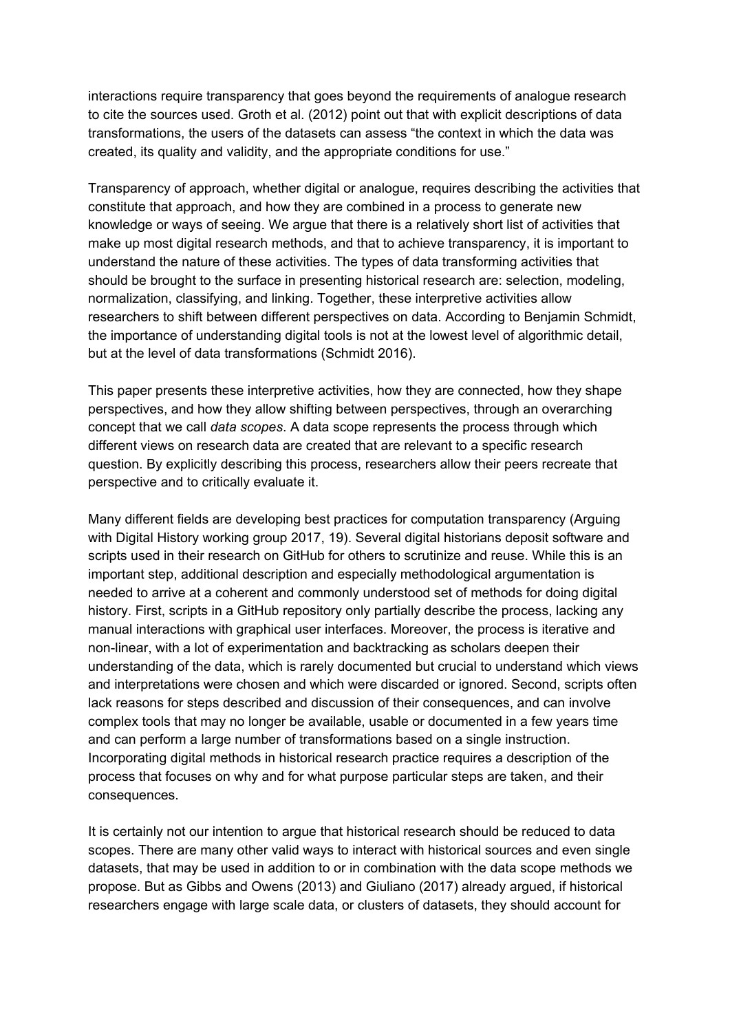interactions require transparency that goes beyond the requirements of analogue research to cite the sources used. Groth et al. (2012) point out that with explicit descriptions of data transformations, the users of the datasets can assess "the context in which the data was created, its quality and validity, and the appropriate conditions for use."

Transparency of approach, whether digital or analogue, requires describing the activities that constitute that approach, and how they are combined in a process to generate new knowledge or ways of seeing. We argue that there is a relatively short list of activities that make up most digital research methods, and that to achieve transparency, it is important to understand the nature of these activities. The types of data transforming activities that should be brought to the surface in presenting historical research are: selection, modeling, normalization, classifying, and linking. Together, these interpretive activities allow researchers to shift between different perspectives on data. According to Benjamin Schmidt, the importance of understanding digital tools is not at the lowest level of algorithmic detail, but at the level of data transformations (Schmidt 2016).

This paper presents these interpretive activities, how they are connected, how they shape perspectives, and how they allow shifting between perspectives, through an overarching concept that we call *data scopes*. A data scope represents the process through which different views on research data are created that are relevant to a specific research question. By explicitly describing this process, researchers allow their peers recreate that perspective and to critically evaluate it.

Many different fields are developing best practices for computation transparency (Arguing with Digital History working group 2017, 19). Several digital historians deposit software and scripts used in their research on GitHub for others to scrutinize and reuse. While this is an important step, additional description and especially methodological argumentation is needed to arrive at a coherent and commonly understood set of methods for doing digital history. First, scripts in a GitHub repository only partially describe the process, lacking any manual interactions with graphical user interfaces. Moreover, the process is iterative and non-linear, with a lot of experimentation and backtracking as scholars deepen their understanding of the data, which is rarely documented but crucial to understand which views and interpretations were chosen and which were discarded or ignored. Second, scripts often lack reasons for steps described and discussion of their consequences, and can involve complex tools that may no longer be available, usable or documented in a few years time and can perform a large number of transformations based on a single instruction. Incorporating digital methods in historical research practice requires a description of the process that focuses on why and for what purpose particular steps are taken, and their consequences.

It is certainly not our intention to argue that historical research should be reduced to data scopes. There are many other valid ways to interact with historical sources and even single datasets, that may be used in addition to or in combination with the data scope methods we propose. But as Gibbs and Owens (2013) and Giuliano (2017) already argued, if historical researchers engage with large scale data, or clusters of datasets, they should account for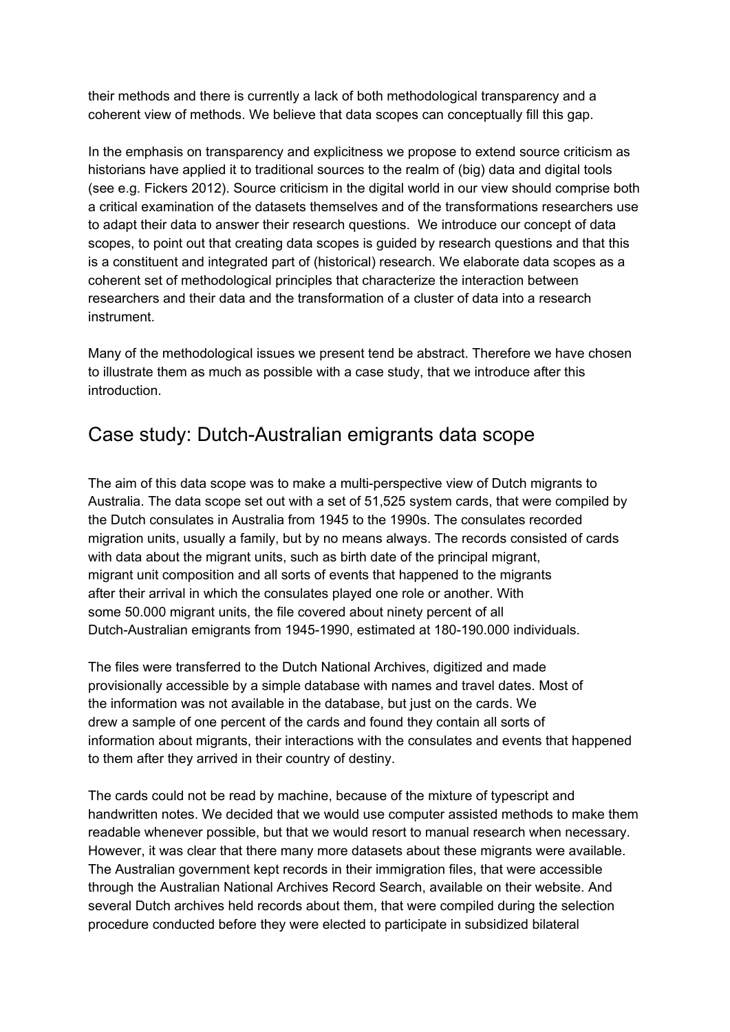their methods and there is currently a lack of both methodological transparency and a coherent view of methods. We believe that data scopes can conceptually fill this gap.

In the emphasis on transparency and explicitness we propose to extend source criticism as historians have applied it to traditional sources to the realm of (big) data and digital tools (see e.g. Fickers 2012). Source criticism in the digital world in our view should comprise both a critical examination of the datasets themselves and of the transformations researchers use to adapt their data to answer their research questions. We introduce our concept of data scopes, to point out that creating data scopes is guided by research questions and that this is a constituent and integrated part of (historical) research. We elaborate data scopes as a coherent set of methodological principles that characterize the interaction between researchers and their data and the transformation of a cluster of data into a research instrument.

Many of the methodological issues we present tend be abstract. Therefore we have chosen to illustrate them as much as possible with a case study, that we introduce after this introduction.

#### Case study: Dutch-Australian emigrants data scope

The aim of this data scope was to make a multi-perspective view of Dutch migrants to Australia. The data scope set out with a set of 51,525 system cards, that were compiled by the Dutch consulates in Australia from 1945 to the 1990s. The consulates recorded migration units, usually a family, but by no means always. The records consisted of cards with data about the migrant units, such as birth date of the principal migrant, migrant unit composition and all sorts of events that happened to the migrants after their arrival in which the consulates played one role or another. With some 50.000 migrant units, the file covered about ninety percent of all Dutch-Australian emigrants from 1945-1990, estimated at 180-190.000 individuals.

The files were transferred to the Dutch National Archives, digitized and made provisionally accessible by a simple database with names and travel dates. Most of the information was not available in the database, but just on the cards. We drew a sample of one percent of the cards and found they contain all sorts of information about migrants, their interactions with the consulates and events that happened to them after they arrived in their country of destiny.

The cards could not be read by machine, because of the mixture of typescript and handwritten notes. We decided that we would use computer assisted methods to make them readable whenever possible, but that we would resort to manual research when necessary. However, it was clear that there many more datasets about these migrants were available. The Australian government kept records in their immigration files, that were accessible through the Australian National Archives Record Search, available on their website. And several Dutch archives held records about them, that were compiled during the selection procedure conducted before they were elected to participate in subsidized bilateral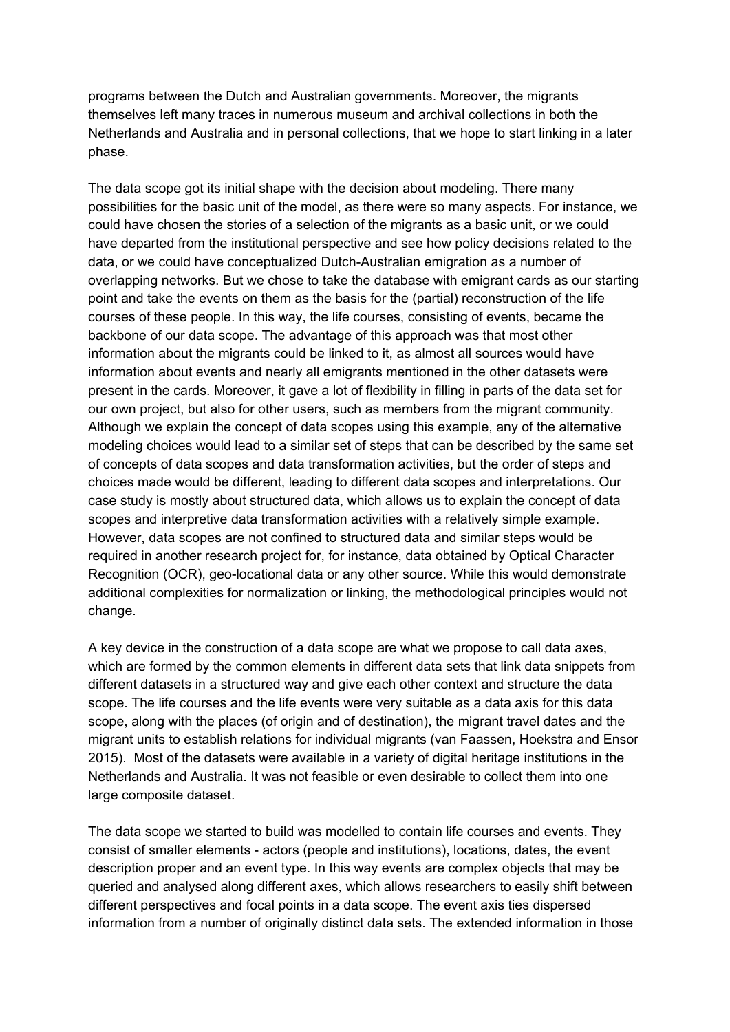programs between the Dutch and Australian governments. Moreover, the migrants themselves left many traces in numerous museum and archival collections in both the Netherlands and Australia and in personal collections, that we hope to start linking in a later phase.

The data scope got its initial shape with the decision about modeling. There many possibilities for the basic unit of the model, as there were so many aspects. For instance, we could have chosen the stories of a selection of the migrants as a basic unit, or we could have departed from the institutional perspective and see how policy decisions related to the data, or we could have conceptualized Dutch-Australian emigration as a number of overlapping networks. But we chose to take the database with emigrant cards as our starting point and take the events on them as the basis for the (partial) reconstruction of the life courses of these people. In this way, the life courses, consisting of events, became the backbone of our data scope. The advantage of this approach was that most other information about the migrants could be linked to it, as almost all sources would have information about events and nearly all emigrants mentioned in the other datasets were present in the cards. Moreover, it gave a lot of flexibility in filling in parts of the data set for our own project, but also for other users, such as members from the migrant community. Although we explain the concept of data scopes using this example, any of the alternative modeling choices would lead to a similar set of steps that can be described by the same set of concepts of data scopes and data transformation activities, but the order of steps and choices made would be different, leading to different data scopes and interpretations. Our case study is mostly about structured data, which allows us to explain the concept of data scopes and interpretive data transformation activities with a relatively simple example. However, data scopes are not confined to structured data and similar steps would be required in another research project for, for instance, data obtained by Optical Character Recognition (OCR), geo-locational data or any other source. While this would demonstrate additional complexities for normalization or linking, the methodological principles would not change.

A key device in the construction of a data scope are what we propose to call data axes, which are formed by the common elements in different data sets that link data snippets from different datasets in a structured way and give each other context and structure the data scope. The life courses and the life events were very suitable as a data axis for this data scope, along with the places (of origin and of destination), the migrant travel dates and the migrant units to establish relations for individual migrants (van Faassen, Hoekstra and Ensor 2015). Most of the datasets were available in a variety of digital heritage institutions in the Netherlands and Australia. It was not feasible or even desirable to collect them into one large composite dataset.

The data scope we started to build was modelled to contain life courses and events. They consist of smaller elements - actors (people and institutions), locations, dates, the event description proper and an event type. In this way events are complex objects that may be queried and analysed along different axes, which allows researchers to easily shift between different perspectives and focal points in a data scope. The event axis ties dispersed information from a number of originally distinct data sets. The extended information in those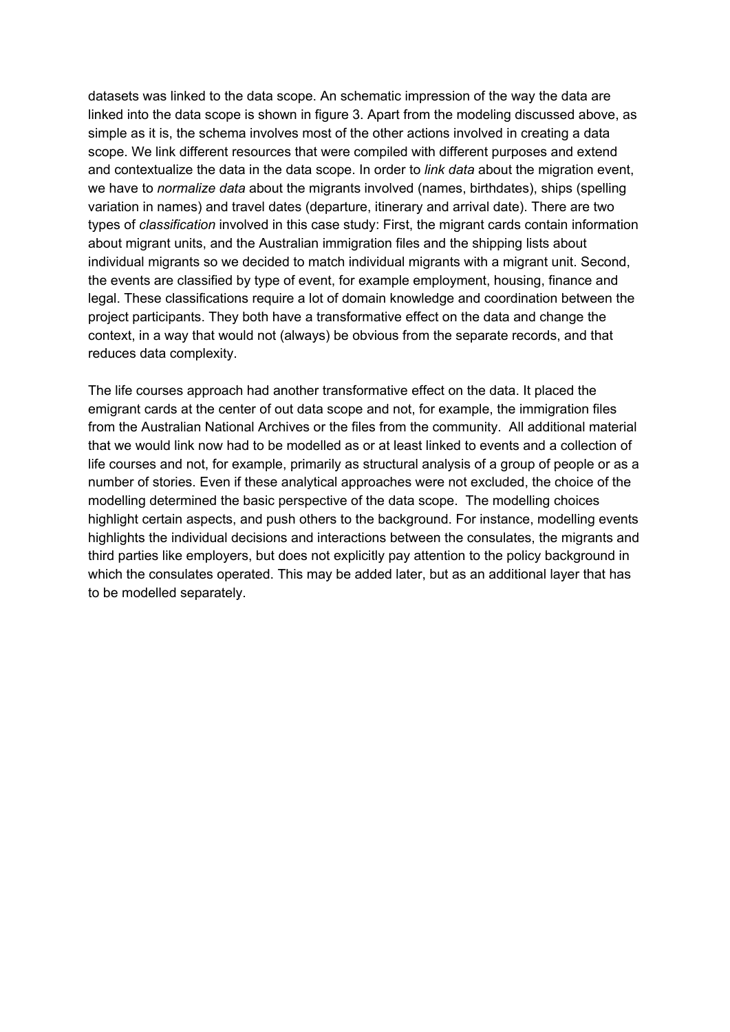datasets was linked to the data scope. An schematic impression of the way the data are linked into the data scope is shown in figure 3. Apart from the modeling discussed above, as simple as it is, the schema involves most of the other actions involved in creating a data scope. We link different resources that were compiled with different purposes and extend and contextualize the data in the data scope. In order to *link data* about the migration event, we have to *normalize data* about the migrants involved (names, birthdates), ships (spelling variation in names) and travel dates (departure, itinerary and arrival date). There are two types of *classification* involved in this case study: First, the migrant cards contain information about migrant units, and the Australian immigration files and the shipping lists about individual migrants so we decided to match individual migrants with a migrant unit. Second, the events are classified by type of event, for example employment, housing, finance and legal. These classifications require a lot of domain knowledge and coordination between the project participants. They both have a transformative effect on the data and change the context, in a way that would not (always) be obvious from the separate records, and that reduces data complexity.

The life courses approach had another transformative effect on the data. It placed the emigrant cards at the center of out data scope and not, for example, the immigration files from the Australian National Archives or the files from the community. All additional material that we would link now had to be modelled as or at least linked to events and a collection of life courses and not, for example, primarily as structural analysis of a group of people or as a number of stories. Even if these analytical approaches were not excluded, the choice of the modelling determined the basic perspective of the data scope. The modelling choices highlight certain aspects, and push others to the background. For instance, modelling events highlights the individual decisions and interactions between the consulates, the migrants and third parties like employers, but does not explicitly pay attention to the policy background in which the consulates operated. This may be added later, but as an additional layer that has to be modelled separately.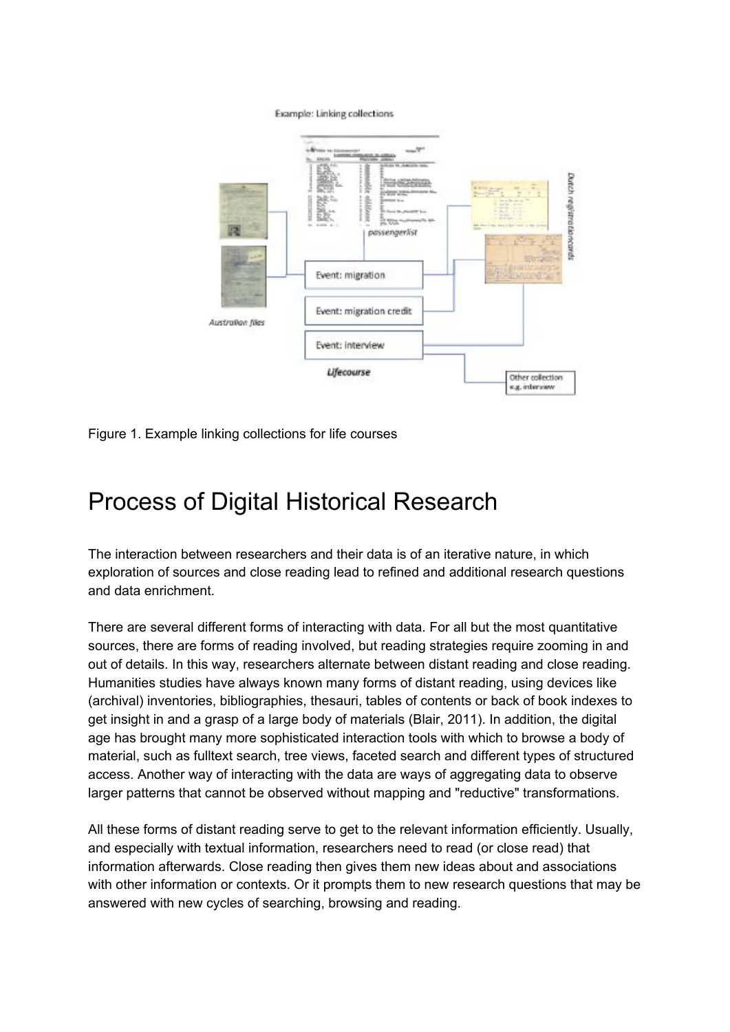Example: Linking collections



Figure 1. Example linking collections for life courses

### Process of Digital Historical Research

The interaction between researchers and their data is of an iterative nature, in which exploration of sources and close reading lead to refined and additional research questions and data enrichment.

There are several different forms of interacting with data. For all but the most quantitative sources, there are forms of reading involved, but reading strategies require zooming in and out of details. In this way, researchers alternate between distant reading and close reading. Humanities studies have always known many forms of distant reading, using devices like (archival) inventories, bibliographies, thesauri, tables of contents or back of book indexes to get insight in and a grasp of a large body of materials (Blair, 2011). In addition, the digital age has brought many more sophisticated interaction tools with which to browse a body of material, such as fulltext search, tree views, faceted search and different types of structured access. Another way of interacting with the data are ways of aggregating data to observe larger patterns that cannot be observed without mapping and "reductive" transformations.

All these forms of distant reading serve to get to the relevant information efficiently. Usually, and especially with textual information, researchers need to read (or close read) that information afterwards. Close reading then gives them new ideas about and associations with other information or contexts. Or it prompts them to new research questions that may be answered with new cycles of searching, browsing and reading.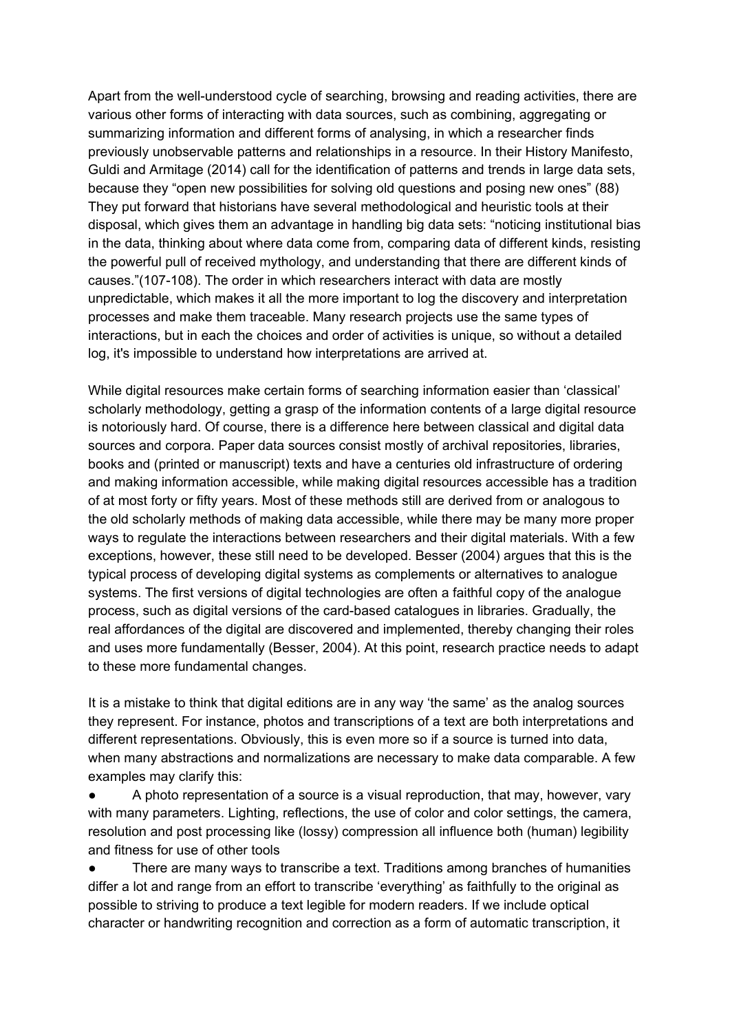Apart from the well-understood cycle of searching, browsing and reading activities, there are various other forms of interacting with data sources, such as combining, aggregating or summarizing information and different forms of analysing, in which a researcher finds previously unobservable patterns and relationships in a resource. In their History Manifesto, Guldi and Armitage (2014) call for the identification of patterns and trends in large data sets, because they "open new possibilities for solving old questions and posing new ones" (88) They put forward that historians have several methodological and heuristic tools at their disposal, which gives them an advantage in handling big data sets: "noticing institutional bias in the data, thinking about where data come from, comparing data of different kinds, resisting the powerful pull of received mythology, and understanding that there are different kinds of causes."(107-108). The order in which researchers interact with data are mostly unpredictable, which makes it all the more important to log the discovery and interpretation processes and make them traceable. Many research projects use the same types of interactions, but in each the choices and order of activities is unique, so without a detailed log, it's impossible to understand how interpretations are arrived at.

While digital resources make certain forms of searching information easier than 'classical' scholarly methodology, getting a grasp of the information contents of a large digital resource is notoriously hard. Of course, there is a difference here between classical and digital data sources and corpora. Paper data sources consist mostly of archival repositories, libraries, books and (printed or manuscript) texts and have a centuries old infrastructure of ordering and making information accessible, while making digital resources accessible has a tradition of at most forty or fifty years. Most of these methods still are derived from or analogous to the old scholarly methods of making data accessible, while there may be many more proper ways to regulate the interactions between researchers and their digital materials. With a few exceptions, however, these still need to be developed. Besser (2004) argues that this is the typical process of developing digital systems as complements or alternatives to analogue systems. The first versions of digital technologies are often a faithful copy of the analogue process, such as digital versions of the card-based catalogues in libraries. Gradually, the real affordances of the digital are discovered and implemented, thereby changing their roles and uses more fundamentally (Besser, 2004). At this point, research practice needs to adapt to these more fundamental changes.

It is a mistake to think that digital editions are in any way 'the same' as the analog sources they represent. For instance, photos and transcriptions of a text are both interpretations and different representations. Obviously, this is even more so if a source is turned into data, when many abstractions and normalizations are necessary to make data comparable. A few examples may clarify this:

A photo representation of a source is a visual reproduction, that may, however, vary with many parameters. Lighting, reflections, the use of color and color settings, the camera, resolution and post processing like (lossy) compression all influence both (human) legibility and fitness for use of other tools

There are many ways to transcribe a text. Traditions among branches of humanities differ a lot and range from an effort to transcribe 'everything' as faithfully to the original as possible to striving to produce a text legible for modern readers. If we include optical character or handwriting recognition and correction as a form of automatic transcription, it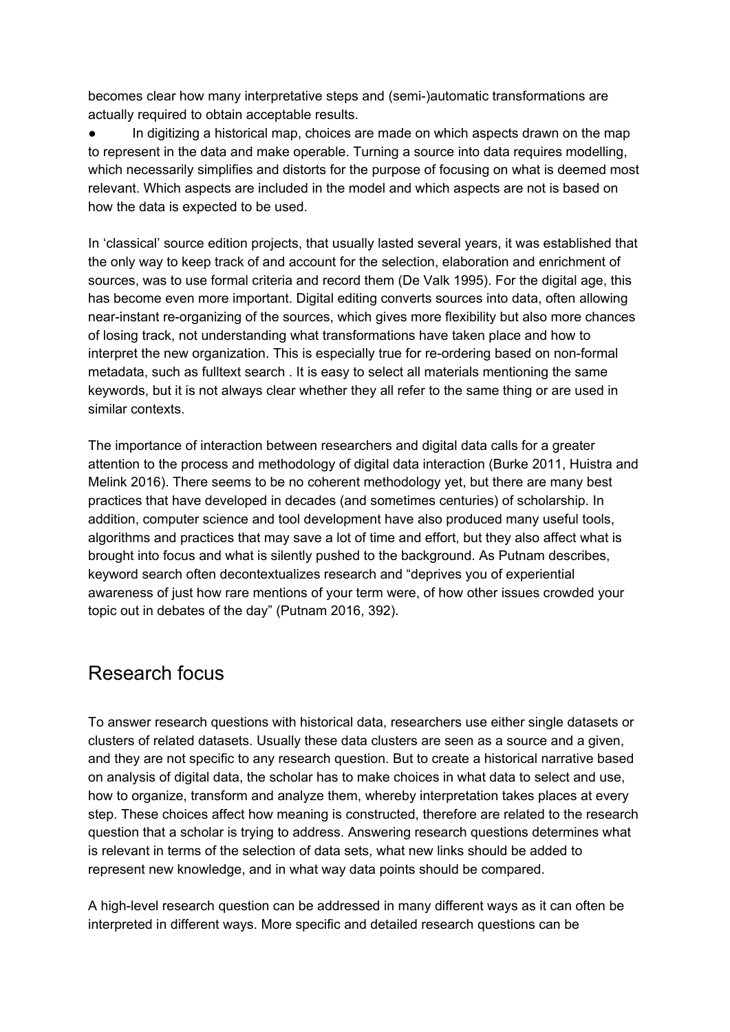becomes clear how many interpretative steps and (semi-)automatic transformations are actually required to obtain acceptable results.

● In digitizing a historical map, choices are made on which aspects drawn on the map to represent in the data and make operable. Turning a source into data requires modelling, which necessarily simplifies and distorts for the purpose of focusing on what is deemed most relevant. Which aspects are included in the model and which aspects are not is based on how the data is expected to be used.

In 'classical' source edition projects, that usually lasted several years, it was established that the only way to keep track of and account for the selection, elaboration and enrichment of sources, was to use formal criteria and record them (De Valk 1995). For the digital age, this has become even more important. Digital editing converts sources into data, often allowing near-instant re-organizing of the sources, which gives more flexibility but also more chances of losing track, not understanding what transformations have taken place and how to interpret the new organization. This is especially true for re-ordering based on non-formal metadata, such as fulltext search . It is easy to select all materials mentioning the same keywords, but it is not always clear whether they all refer to the same thing or are used in similar contexts.

The importance of interaction between researchers and digital data calls for a greater attention to the process and methodology of digital data interaction (Burke 2011, Huistra and Melink 2016). There seems to be no coherent methodology yet, but there are many best practices that have developed in decades (and sometimes centuries) of scholarship. In addition, computer science and tool development have also produced many useful tools, algorithms and practices that may save a lot of time and effort, but they also affect what is brought into focus and what is silently pushed to the background. As Putnam describes, keyword search often decontextualizes research and "deprives you of experiential awareness of just how rare mentions of your term were, of how other issues crowded your topic out in debates of the day" (Putnam 2016, 392).

#### Research focus

To answer research questions with historical data, researchers use either single datasets or clusters of related datasets. Usually these data clusters are seen as a source and a given, and they are not specific to any research question. But to create a historical narrative based on analysis of digital data, the scholar has to make choices in what data to select and use, how to organize, transform and analyze them, whereby interpretation takes places at every step. These choices affect how meaning is constructed, therefore are related to the research question that a scholar is trying to address. Answering research questions determines what is relevant in terms of the selection of data sets, what new links should be added to represent new knowledge, and in what way data points should be compared.

A high-level research question can be addressed in many different ways as it can often be interpreted in different ways. More specific and detailed research questions can be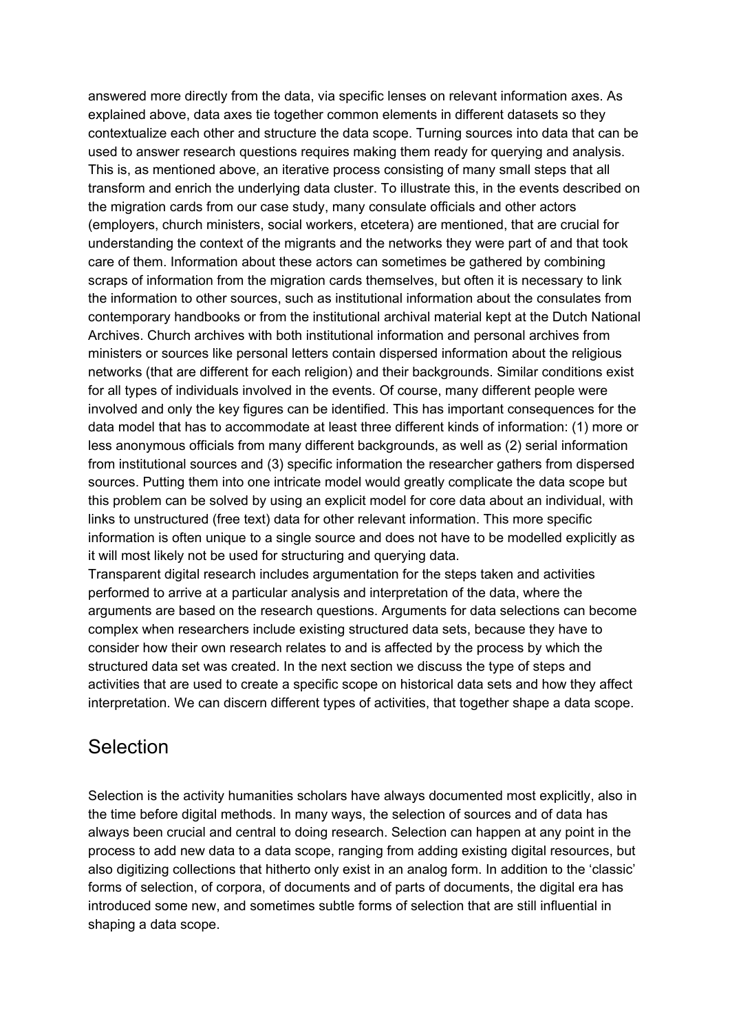answered more directly from the data, via specific lenses on relevant information axes. As explained above, data axes tie together common elements in different datasets so they contextualize each other and structure the data scope. Turning sources into data that can be used to answer research questions requires making them ready for querying and analysis. This is, as mentioned above, an iterative process consisting of many small steps that all transform and enrich the underlying data cluster. To illustrate this, in the events described on the migration cards from our case study, many consulate officials and other actors (employers, church ministers, social workers, etcetera) are mentioned, that are crucial for understanding the context of the migrants and the networks they were part of and that took care of them. Information about these actors can sometimes be gathered by combining scraps of information from the migration cards themselves, but often it is necessary to link the information to other sources, such as institutional information about the consulates from contemporary handbooks or from the institutional archival material kept at the Dutch National Archives. Church archives with both institutional information and personal archives from ministers or sources like personal letters contain dispersed information about the religious networks (that are different for each religion) and their backgrounds. Similar conditions exist for all types of individuals involved in the events. Of course, many different people were involved and only the key figures can be identified. This has important consequences for the data model that has to accommodate at least three different kinds of information: (1) more or less anonymous officials from many different backgrounds, as well as (2) serial information from institutional sources and (3) specific information the researcher gathers from dispersed sources. Putting them into one intricate model would greatly complicate the data scope but this problem can be solved by using an explicit model for core data about an individual, with links to unstructured (free text) data for other relevant information. This more specific information is often unique to a single source and does not have to be modelled explicitly as it will most likely not be used for structuring and querying data.

Transparent digital research includes argumentation for the steps taken and activities performed to arrive at a particular analysis and interpretation of the data, where the arguments are based on the research questions. Arguments for data selections can become complex when researchers include existing structured data sets, because they have to consider how their own research relates to and is affected by the process by which the structured data set was created. In the next section we discuss the type of steps and activities that are used to create a specific scope on historical data sets and how they affect interpretation. We can discern different types of activities, that together shape a data scope.

#### **Selection**

Selection is the activity humanities scholars have always documented most explicitly, also in the time before digital methods. In many ways, the selection of sources and of data has always been crucial and central to doing research. Selection can happen at any point in the process to add new data to a data scope, ranging from adding existing digital resources, but also digitizing collections that hitherto only exist in an analog form. In addition to the 'classic' forms of selection, of corpora, of documents and of parts of documents, the digital era has introduced some new, and sometimes subtle forms of selection that are still influential in shaping a data scope.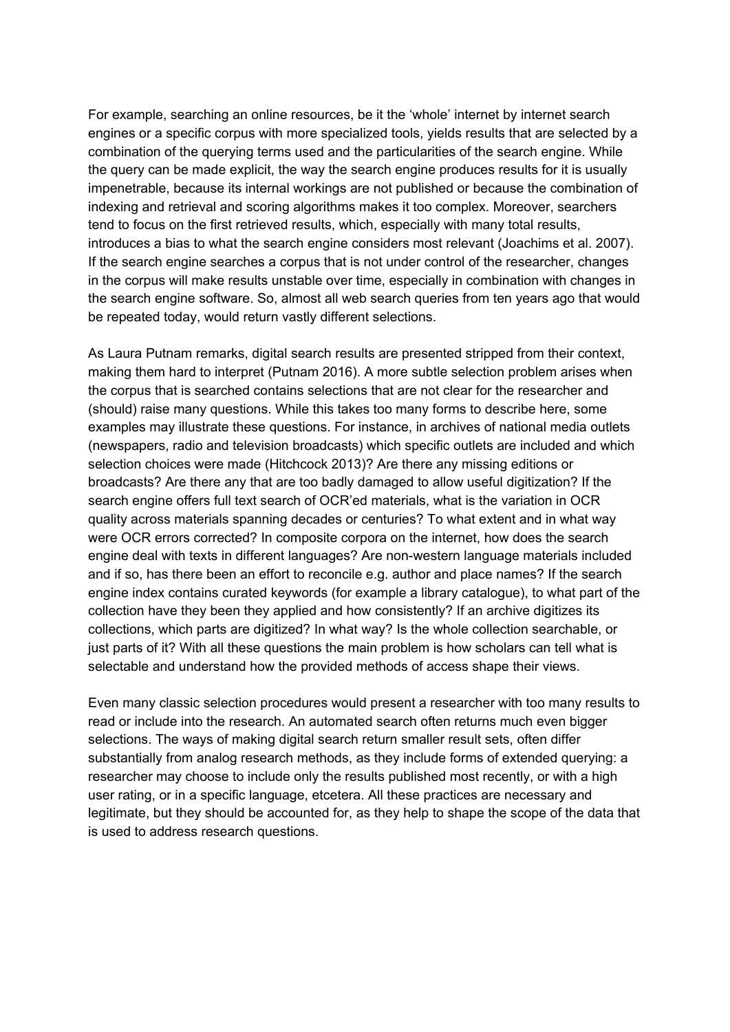For example, searching an online resources, be it the 'whole' internet by internet search engines or a specific corpus with more specialized tools, yields results that are selected by a combination of the querying terms used and the particularities of the search engine. While the query can be made explicit, the way the search engine produces results for it is usually impenetrable, because its internal workings are not published or because the combination of indexing and retrieval and scoring algorithms makes it too complex. Moreover, searchers tend to focus on the first retrieved results, which, especially with many total results, introduces a bias to what the search engine considers most relevant (Joachims et al. 2007). If the search engine searches a corpus that is not under control of the researcher, changes in the corpus will make results unstable over time, especially in combination with changes in the search engine software. So, almost all web search queries from ten years ago that would be repeated today, would return vastly different selections.

As Laura Putnam remarks, digital search results are presented stripped from their context, making them hard to interpret (Putnam 2016). A more subtle selection problem arises when the corpus that is searched contains selections that are not clear for the researcher and (should) raise many questions. While this takes too many forms to describe here, some examples may illustrate these questions. For instance, in archives of national media outlets (newspapers, radio and television broadcasts) which specific outlets are included and which selection choices were made (Hitchcock 2013)? Are there any missing editions or broadcasts? Are there any that are too badly damaged to allow useful digitization? If the search engine offers full text search of OCR'ed materials, what is the variation in OCR quality across materials spanning decades or centuries? To what extent and in what way were OCR errors corrected? In composite corpora on the internet, how does the search engine deal with texts in different languages? Are non-western language materials included and if so, has there been an effort to reconcile e.g. author and place names? If the search engine index contains curated keywords (for example a library catalogue), to what part of the collection have they been they applied and how consistently? If an archive digitizes its collections, which parts are digitized? In what way? Is the whole collection searchable, or just parts of it? With all these questions the main problem is how scholars can tell what is selectable and understand how the provided methods of access shape their views.

Even many classic selection procedures would present a researcher with too many results to read or include into the research. An automated search often returns much even bigger selections. The ways of making digital search return smaller result sets, often differ substantially from analog research methods, as they include forms of extended querying: a researcher may choose to include only the results published most recently, or with a high user rating, or in a specific language, etcetera. All these practices are necessary and legitimate, but they should be accounted for, as they help to shape the scope of the data that is used to address research questions.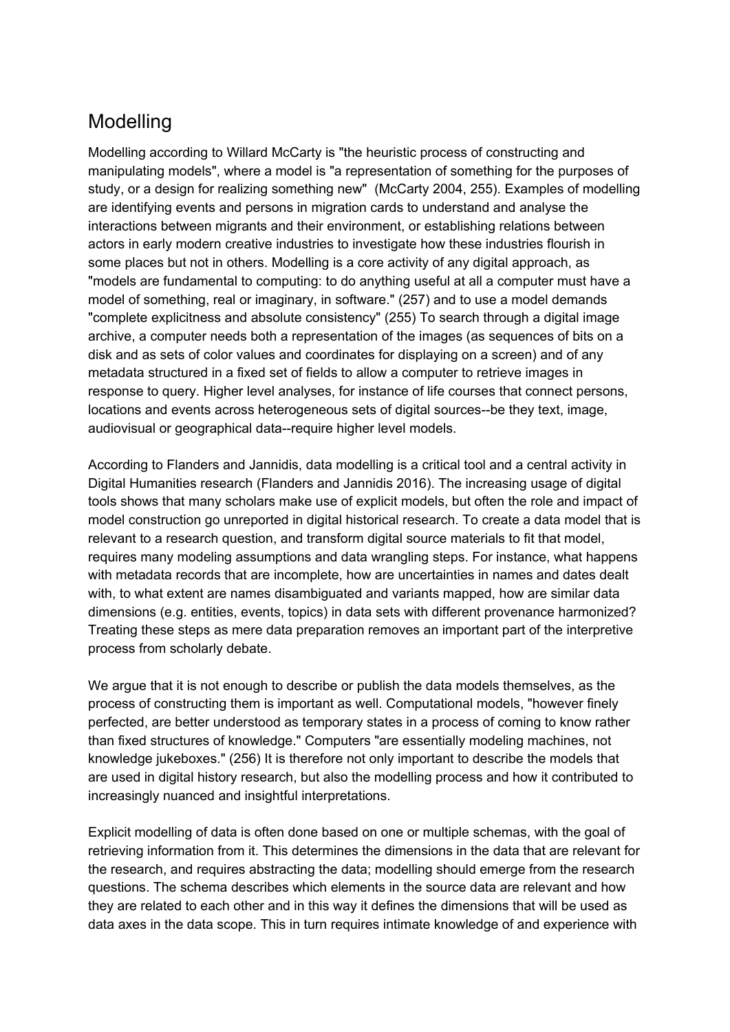#### Modelling

Modelling according to Willard McCarty is "the heuristic process of constructing and manipulating models", where a model is "a representation of something for the purposes of study, or a design for realizing something new" (McCarty 2004, 255). Examples of modelling are identifying events and persons in migration cards to understand and analyse the interactions between migrants and their environment, or establishing relations between actors in early modern creative industries to investigate how these industries flourish in some places but not in others. Modelling is a core activity of any digital approach, as "models are fundamental to computing: to do anything useful at all a computer must have a model of something, real or imaginary, in software." (257) and to use a model demands "complete explicitness and absolute consistency" (255) To search through a digital image archive, a computer needs both a representation of the images (as sequences of bits on a disk and as sets of color values and coordinates for displaying on a screen) and of any metadata structured in a fixed set of fields to allow a computer to retrieve images in response to query. Higher level analyses, for instance of life courses that connect persons, locations and events across heterogeneous sets of digital sources--be they text, image, audiovisual or geographical data--require higher level models.

According to Flanders and Jannidis, data modelling is a critical tool and a central activity in Digital Humanities research (Flanders and Jannidis 2016). The increasing usage of digital tools shows that many scholars make use of explicit models, but often the role and impact of model construction go unreported in digital historical research. To create a data model that is relevant to a research question, and transform digital source materials to fit that model, requires many modeling assumptions and data wrangling steps. For instance, what happens with metadata records that are incomplete, how are uncertainties in names and dates dealt with, to what extent are names disambiguated and variants mapped, how are similar data dimensions (e.g. entities, events, topics) in data sets with different provenance harmonized? Treating these steps as mere data preparation removes an important part of the interpretive process from scholarly debate.

We argue that it is not enough to describe or publish the data models themselves, as the process of constructing them is important as well. Computational models, "however finely perfected, are better understood as temporary states in a process of coming to know rather than fixed structures of knowledge." Computers "are essentially modeling machines, not knowledge jukeboxes." (256) It is therefore not only important to describe the models that are used in digital history research, but also the modelling process and how it contributed to increasingly nuanced and insightful interpretations.

Explicit modelling of data is often done based on one or multiple schemas, with the goal of retrieving information from it. This determines the dimensions in the data that are relevant for the research, and requires abstracting the data; modelling should emerge from the research questions. The schema describes which elements in the source data are relevant and how they are related to each other and in this way it defines the dimensions that will be used as data axes in the data scope. This in turn requires intimate knowledge of and experience with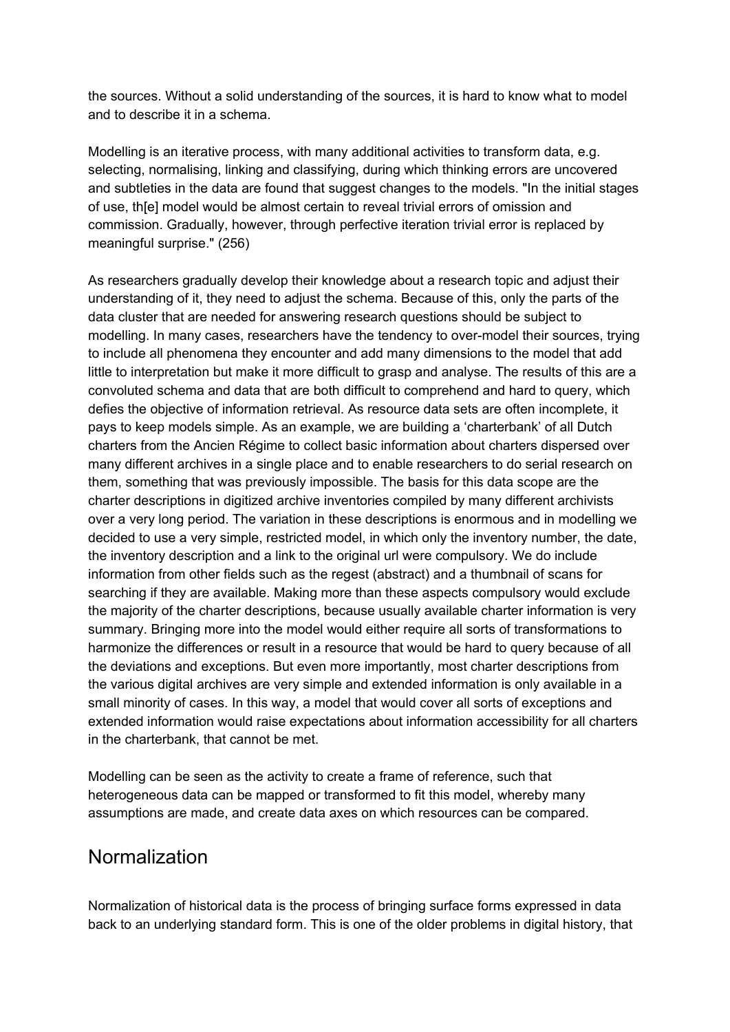the sources. Without a solid understanding of the sources, it is hard to know what to model and to describe it in a schema.

Modelling is an iterative process, with many additional activities to transform data, e.g. selecting, normalising, linking and classifying, during which thinking errors are uncovered and subtleties in the data are found that suggest changes to the models. "In the initial stages of use, th[e] model would be almost certain to reveal trivial errors of omission and commission. Gradually, however, through perfective iteration trivial error is replaced by meaningful surprise." (256)

As researchers gradually develop their knowledge about a research topic and adjust their understanding of it, they need to adjust the schema. Because of this, only the parts of the data cluster that are needed for answering research questions should be subject to modelling. In many cases, researchers have the tendency to over-model their sources, trying to include all phenomena they encounter and add many dimensions to the model that add little to interpretation but make it more difficult to grasp and analyse. The results of this are a convoluted schema and data that are both difficult to comprehend and hard to query, which defies the objective of information retrieval. As resource data sets are often incomplete, it pays to keep models simple. As an example, we are building a 'charterbank' of all Dutch charters from the Ancien Régime to collect basic information about charters dispersed over many different archives in a single place and to enable researchers to do serial research on them, something that was previously impossible. The basis for this data scope are the charter descriptions in digitized archive inventories compiled by many different archivists over a very long period. The variation in these descriptions is enormous and in modelling we decided to use a very simple, restricted model, in which only the inventory number, the date, the inventory description and a link to the original url were compulsory. We do include information from other fields such as the regest (abstract) and a thumbnail of scans for searching if they are available. Making more than these aspects compulsory would exclude the majority of the charter descriptions, because usually available charter information is very summary. Bringing more into the model would either require all sorts of transformations to harmonize the differences or result in a resource that would be hard to query because of all the deviations and exceptions. But even more importantly, most charter descriptions from the various digital archives are very simple and extended information is only available in a small minority of cases. In this way, a model that would cover all sorts of exceptions and extended information would raise expectations about information accessibility for all charters in the charterbank, that cannot be met.

Modelling can be seen as the activity to create a frame of reference, such that heterogeneous data can be mapped or transformed to fit this model, whereby many assumptions are made, and create data axes on which resources can be compared.

#### Normalization

Normalization of historical data is the process of bringing surface forms expressed in data back to an underlying standard form. This is one of the older problems in digital history, that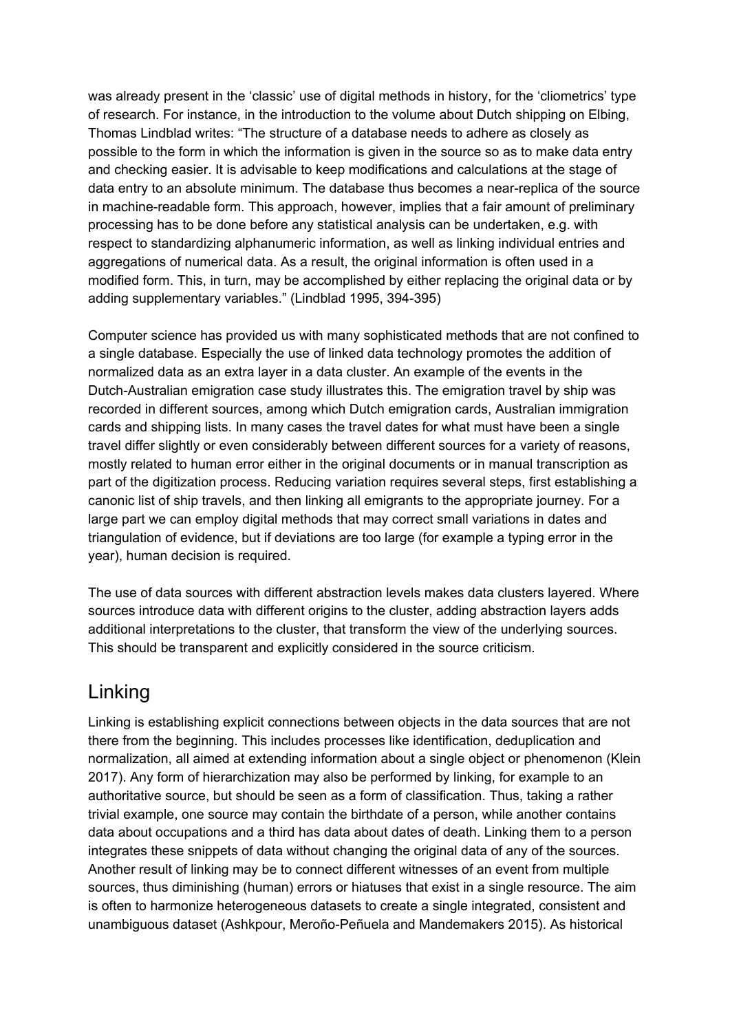was already present in the 'classic' use of digital methods in history, for the 'cliometrics' type of research. For instance, in the introduction to the volume about Dutch shipping on Elbing, Thomas Lindblad writes: "The structure of a database needs to adhere as closely as possible to the form in which the information is given in the source so as to make data entry and checking easier. It is advisable to keep modifications and calculations at the stage of data entry to an absolute minimum. The database thus becomes a near-replica of the source in machine-readable form. This approach, however, implies that a fair amount of preliminary processing has to be done before any statistical analysis can be undertaken, e.g. with respect to standardizing alphanumeric information, as well as linking individual entries and aggregations of numerical data. As a result, the original information is often used in a modified form. This, in turn, may be accomplished by either replacing the original data or by adding supplementary variables." (Lindblad 1995, 394-395)

Computer science has provided us with many sophisticated methods that are not confined to a single database. Especially the use of linked data technology promotes the addition of normalized data as an extra layer in a data cluster. An example of the events in the Dutch-Australian emigration case study illustrates this. The emigration travel by ship was recorded in different sources, among which Dutch emigration cards, Australian immigration cards and shipping lists. In many cases the travel dates for what must have been a single travel differ slightly or even considerably between different sources for a variety of reasons, mostly related to human error either in the original documents or in manual transcription as part of the digitization process. Reducing variation requires several steps, first establishing a canonic list of ship travels, and then linking all emigrants to the appropriate journey. For a large part we can employ digital methods that may correct small variations in dates and triangulation of evidence, but if deviations are too large (for example a typing error in the year), human decision is required.

The use of data sources with different abstraction levels makes data clusters layered. Where sources introduce data with different origins to the cluster, adding abstraction layers adds additional interpretations to the cluster, that transform the view of the underlying sources. This should be transparent and explicitly considered in the source criticism.

#### Linking

Linking is establishing explicit connections between objects in the data sources that are not there from the beginning. This includes processes like identification, deduplication and normalization, all aimed at extending information about a single object or phenomenon (Klein 2017). Any form of hierarchization may also be performed by linking, for example to an authoritative source, but should be seen as a form of classification. Thus, taking a rather trivial example, one source may contain the birthdate of a person, while another contains data about occupations and a third has data about dates of death. Linking them to a person integrates these snippets of data without changing the original data of any of the sources. Another result of linking may be to connect different witnesses of an event from multiple sources, thus diminishing (human) errors or hiatuses that exist in a single resource. The aim is often to harmonize heterogeneous datasets to create a single integrated, consistent and unambiguous dataset (Ashkpour, Meroño-Peñuela and Mandemakers 2015). As historical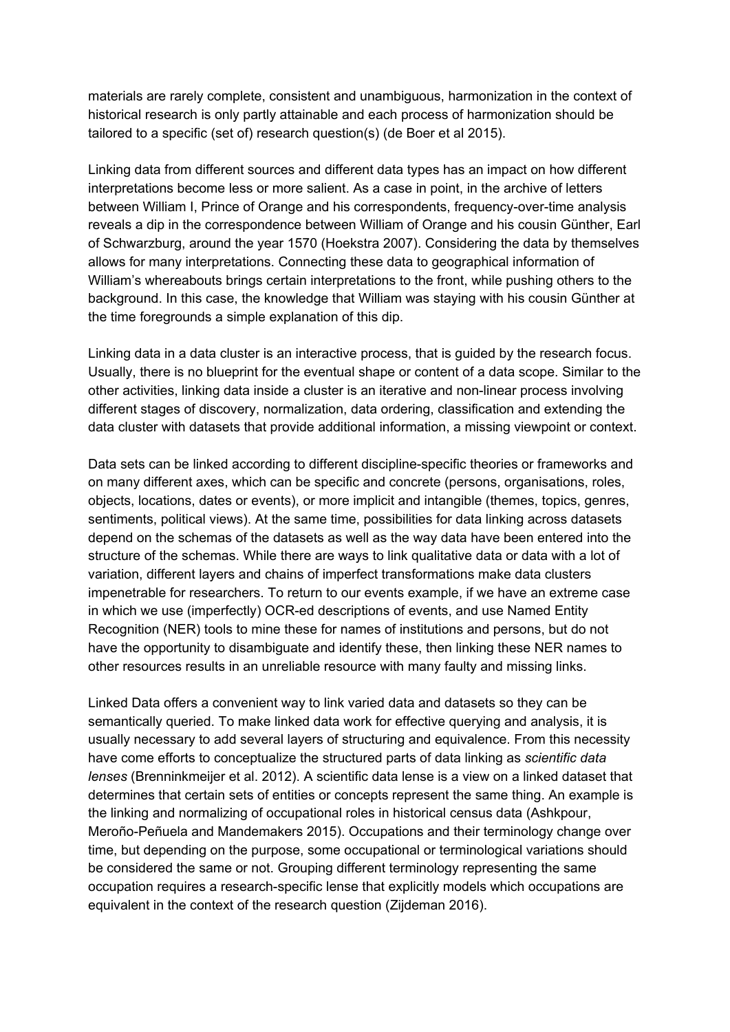materials are rarely complete, consistent and unambiguous, harmonization in the context of historical research is only partly attainable and each process of harmonization should be tailored to a specific (set of) research question(s) (de Boer et al 2015).

Linking data from different sources and different data types has an impact on how different interpretations become less or more salient. As a case in point, in the archive of letters between William I, Prince of Orange and his correspondents, frequency-over-time analysis reveals a dip in the correspondence between William of Orange and his cousin Günther, Earl of Schwarzburg, around the year 1570 (Hoekstra 2007). Considering the data by themselves allows for many interpretations. Connecting these data to geographical information of William's whereabouts brings certain interpretations to the front, while pushing others to the background. In this case, the knowledge that William was staying with his cousin Günther at the time foregrounds a simple explanation of this dip.

Linking data in a data cluster is an interactive process, that is guided by the research focus. Usually, there is no blueprint for the eventual shape or content of a data scope. Similar to the other activities, linking data inside a cluster is an iterative and non-linear process involving different stages of discovery, normalization, data ordering, classification and extending the data cluster with datasets that provide additional information, a missing viewpoint or context.

Data sets can be linked according to different discipline-specific theories or frameworks and on many different axes, which can be specific and concrete (persons, organisations, roles, objects, locations, dates or events), or more implicit and intangible (themes, topics, genres, sentiments, political views). At the same time, possibilities for data linking across datasets depend on the schemas of the datasets as well as the way data have been entered into the structure of the schemas. While there are ways to link qualitative data or data with a lot of variation, different layers and chains of imperfect transformations make data clusters impenetrable for researchers. To return to our events example, if we have an extreme case in which we use (imperfectly) OCR-ed descriptions of events, and use Named Entity Recognition (NER) tools to mine these for names of institutions and persons, but do not have the opportunity to disambiguate and identify these, then linking these NER names to other resources results in an unreliable resource with many faulty and missing links.

Linked Data offers a convenient way to link varied data and datasets so they can be semantically queried. To make linked data work for effective querying and analysis, it is usually necessary to add several layers of structuring and equivalence. From this necessity have come efforts to conceptualize the structured parts of data linking as *scientific data lenses* (Brenninkmeijer et al. 2012). A scientific data lense is a view on a linked dataset that determines that certain sets of entities or concepts represent the same thing. An example is the linking and normalizing of occupational roles in historical census data (Ashkpour, Meroño-Peñuela and Mandemakers 2015). Occupations and their terminology change over time, but depending on the purpose, some occupational or terminological variations should be considered the same or not. Grouping different terminology representing the same occupation requires a research-specific lense that explicitly models which occupations are equivalent in the context of the research question (Zijdeman 2016).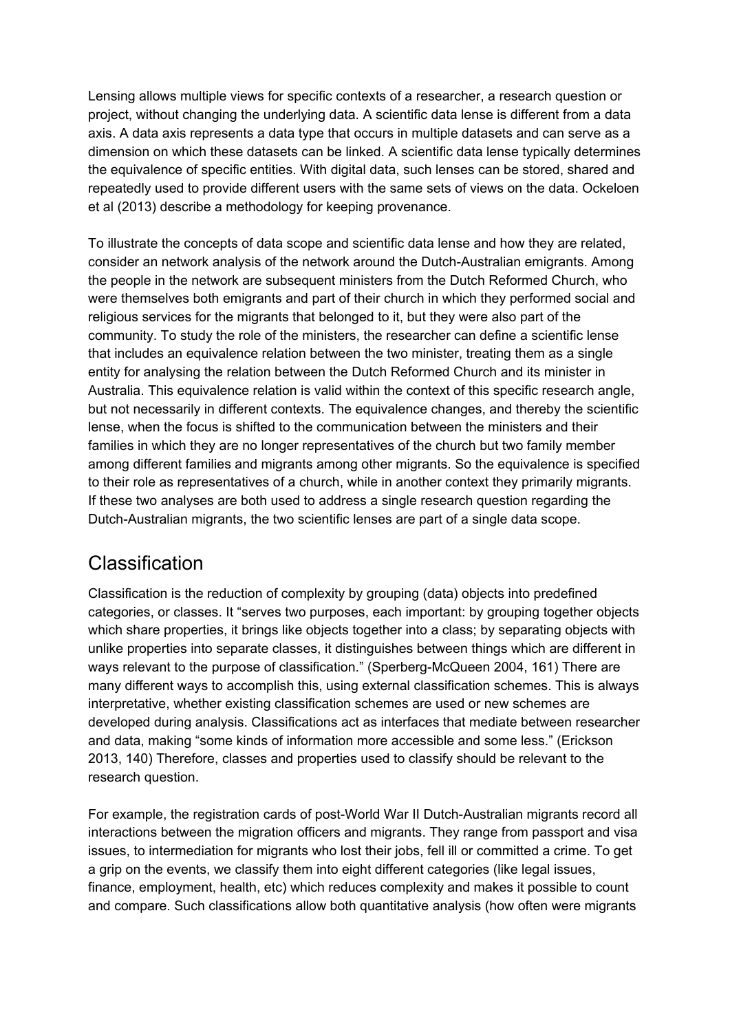Lensing allows multiple views for specific contexts of a researcher, a research question or project, without changing the underlying data. A scientific data lense is different from a data axis. A data axis represents a data type that occurs in multiple datasets and can serve as a dimension on which these datasets can be linked. A scientific data lense typically determines the equivalence of specific entities. With digital data, such lenses can be stored, shared and repeatedly used to provide different users with the same sets of views on the data. Ockeloen et al (2013) describe a methodology for keeping provenance.

To illustrate the concepts of data scope and scientific data lense and how they are related, consider an network analysis of the network around the Dutch-Australian emigrants. Among the people in the network are subsequent ministers from the Dutch Reformed Church, who were themselves both emigrants and part of their church in which they performed social and religious services for the migrants that belonged to it, but they were also part of the community. To study the role of the ministers, the researcher can define a scientific lense that includes an equivalence relation between the two minister, treating them as a single entity for analysing the relation between the Dutch Reformed Church and its minister in Australia. This equivalence relation is valid within the context of this specific research angle, but not necessarily in different contexts. The equivalence changes, and thereby the scientific lense, when the focus is shifted to the communication between the ministers and their families in which they are no longer representatives of the church but two family member among different families and migrants among other migrants. So the equivalence is specified to their role as representatives of a church, while in another context they primarily migrants. If these two analyses are both used to address a single research question regarding the Dutch-Australian migrants, the two scientific lenses are part of a single data scope.

#### **Classification**

Classification is the reduction of complexity by grouping (data) objects into predefined categories, or classes. It "serves two purposes, each important: by grouping together objects which share properties, it brings like objects together into a class; by separating objects with unlike properties into separate classes, it distinguishes between things which are different in ways relevant to the purpose of classification." (Sperberg-McQueen 2004, 161) There are many different ways to accomplish this, using external classification schemes. This is always interpretative, whether existing classification schemes are used or new schemes are developed during analysis. Classifications act as interfaces that mediate between researcher and data, making "some kinds of information more accessible and some less." (Erickson 2013, 140) Therefore, classes and properties used to classify should be relevant to the research question.

For example, the registration cards of post-World War II Dutch-Australian migrants record all interactions between the migration officers and migrants. They range from passport and visa issues, to intermediation for migrants who lost their jobs, fell ill or committed a crime. To get a grip on the events, we classify them into eight different categories (like legal issues, finance, employment, health, etc) which reduces complexity and makes it possible to count and compare. Such classifications allow both quantitative analysis (how often were migrants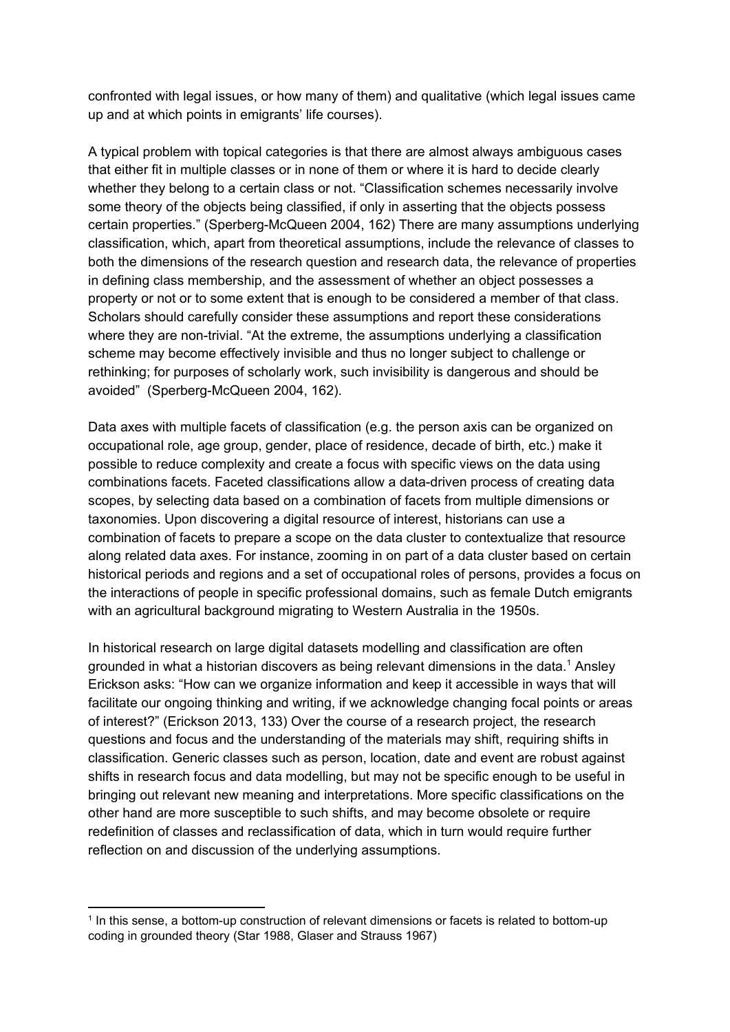confronted with legal issues, or how many of them) and qualitative (which legal issues came up and at which points in emigrants' life courses).

A typical problem with topical categories is that there are almost always ambiguous cases that either fit in multiple classes or in none of them or where it is hard to decide clearly whether they belong to a certain class or not. "Classification schemes necessarily involve some theory of the objects being classified, if only in asserting that the objects possess certain properties." (Sperberg-McQueen 2004, 162) There are many assumptions underlying classification, which, apart from theoretical assumptions, include the relevance of classes to both the dimensions of the research question and research data, the relevance of properties in defining class membership, and the assessment of whether an object possesses a property or not or to some extent that is enough to be considered a member of that class. Scholars should carefully consider these assumptions and report these considerations where they are non-trivial. "At the extreme, the assumptions underlying a classification scheme may become effectively invisible and thus no longer subject to challenge or rethinking; for purposes of scholarly work, such invisibility is dangerous and should be avoided" (Sperberg-McQueen 2004, 162).

Data axes with multiple facets of classification (e.g. the person axis can be organized on occupational role, age group, gender, place of residence, decade of birth, etc.) make it possible to reduce complexity and create a focus with specific views on the data using combinations facets. Faceted classifications allow a data-driven process of creating data scopes, by selecting data based on a combination of facets from multiple dimensions or taxonomies. Upon discovering a digital resource of interest, historians can use a combination of facets to prepare a scope on the data cluster to contextualize that resource along related data axes. For instance, zooming in on part of a data cluster based on certain historical periods and regions and a set of occupational roles of persons, provides a focus on the interactions of people in specific professional domains, such as female Dutch emigrants with an agricultural background migrating to Western Australia in the 1950s.

In historical research on large digital datasets modelling and classification are often grounded in what a historian discovers as being relevant dimensions in the data.<sup>1</sup> Ansley Erickson asks: "How can we organize information and keep it accessible in ways that will facilitate our ongoing thinking and writing, if we acknowledge changing focal points or areas of interest?" (Erickson 2013, 133) Over the course of a research project, the research questions and focus and the understanding of the materials may shift, requiring shifts in classification. Generic classes such as person, location, date and event are robust against shifts in research focus and data modelling, but may not be specific enough to be useful in bringing out relevant new meaning and interpretations. More specific classifications on the other hand are more susceptible to such shifts, and may become obsolete or require redefinition of classes and reclassification of data, which in turn would require further reflection on and discussion of the underlying assumptions.

<sup>1</sup> In this sense, a bottom-up construction of relevant dimensions or facets is related to bottom-up coding in grounded theory (Star 1988, Glaser and Strauss 1967)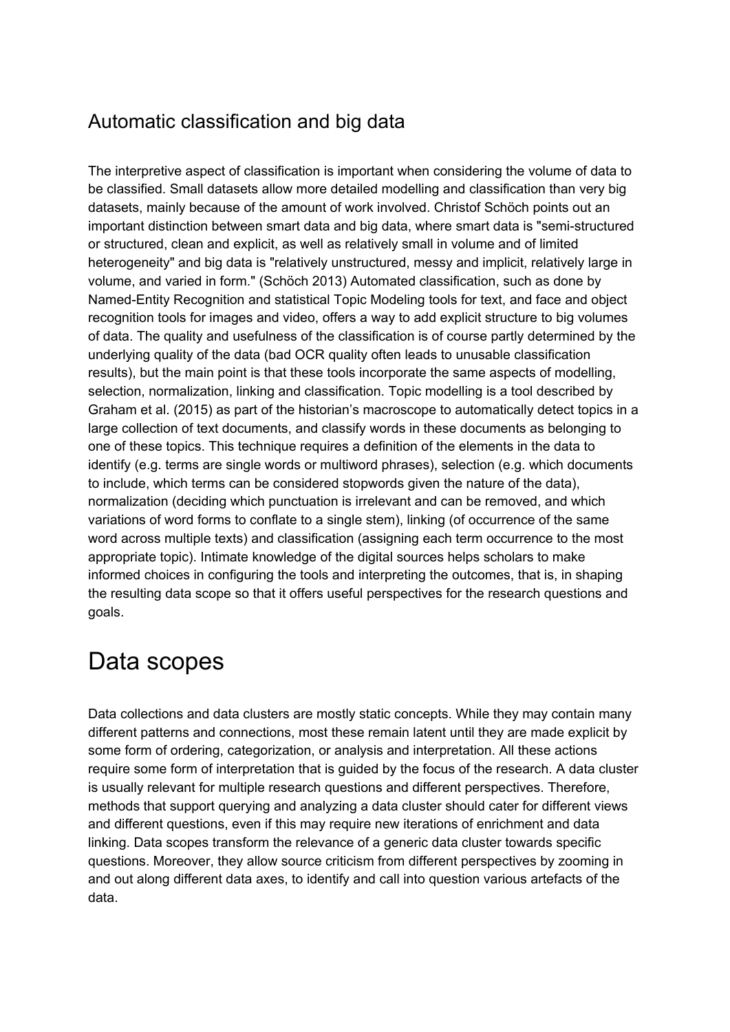#### Automatic classification and big data

The interpretive aspect of classification is important when considering the volume of data to be classified. Small datasets allow more detailed modelling and classification than very big datasets, mainly because of the amount of work involved. Christof Schöch points out an important distinction between smart data and big data, where smart data is "semi-structured or structured, clean and explicit, as well as relatively small in volume and of limited heterogeneity" and big data is "relatively unstructured, messy and implicit, relatively large in volume, and varied in form." (Schöch 2013) Automated classification, such as done by Named-Entity Recognition and statistical Topic Modeling tools for text, and face and object recognition tools for images and video, offers a way to add explicit structure to big volumes of data. The quality and usefulness of the classification is of course partly determined by the underlying quality of the data (bad OCR quality often leads to unusable classification results), but the main point is that these tools incorporate the same aspects of modelling, selection, normalization, linking and classification. Topic modelling is a tool described by Graham et al. (2015) as part of the historian's macroscope to automatically detect topics in a large collection of text documents, and classify words in these documents as belonging to one of these topics. This technique requires a definition of the elements in the data to identify (e.g. terms are single words or multiword phrases), selection (e.g. which documents to include, which terms can be considered stopwords given the nature of the data), normalization (deciding which punctuation is irrelevant and can be removed, and which variations of word forms to conflate to a single stem), linking (of occurrence of the same word across multiple texts) and classification (assigning each term occurrence to the most appropriate topic). Intimate knowledge of the digital sources helps scholars to make informed choices in configuring the tools and interpreting the outcomes, that is, in shaping the resulting data scope so that it offers useful perspectives for the research questions and goals.

### Data scopes

Data collections and data clusters are mostly static concepts. While they may contain many different patterns and connections, most these remain latent until they are made explicit by some form of ordering, categorization, or analysis and interpretation. All these actions require some form of interpretation that is guided by the focus of the research. A data cluster is usually relevant for multiple research questions and different perspectives. Therefore, methods that support querying and analyzing a data cluster should cater for different views and different questions, even if this may require new iterations of enrichment and data linking. Data scopes transform the relevance of a generic data cluster towards specific questions. Moreover, they allow source criticism from different perspectives by zooming in and out along different data axes, to identify and call into question various artefacts of the data.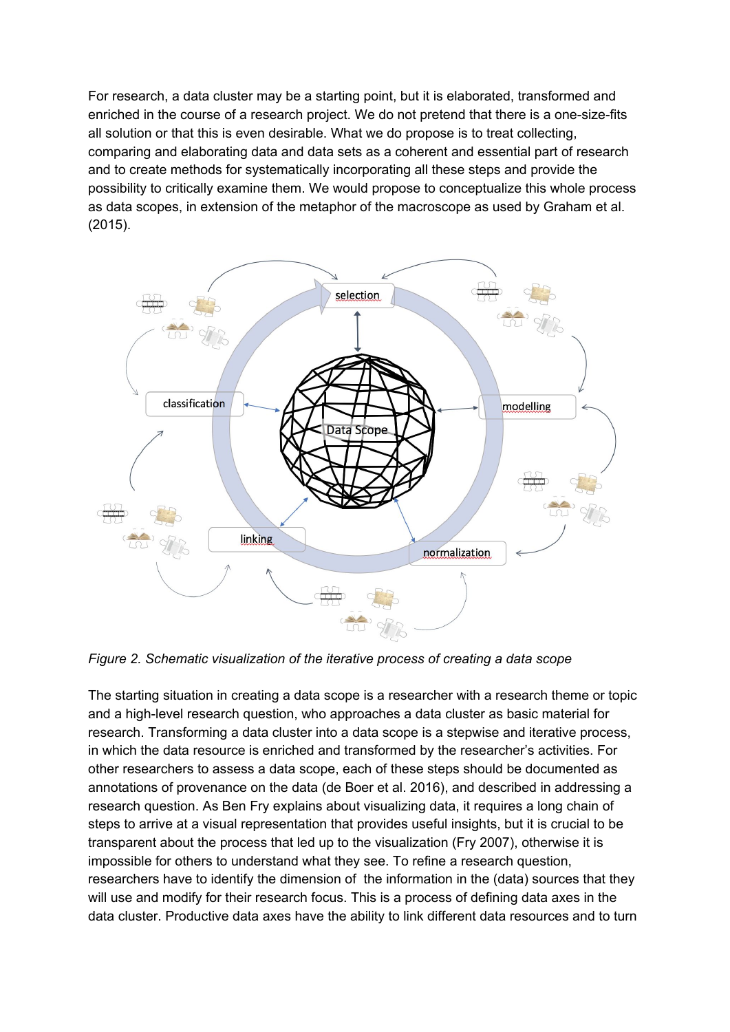For research, a data cluster may be a starting point, but it is elaborated, transformed and enriched in the course of a research project. We do not pretend that there is a one-size-fits all solution or that this is even desirable. What we do propose is to treat collecting, comparing and elaborating data and data sets as a coherent and essential part of research and to create methods for systematically incorporating all these steps and provide the possibility to critically examine them. We would propose to conceptualize this whole process as data scopes, in extension of the metaphor of the macroscope as used by Graham et al. (2015).



*Figure 2. Schematic visualization of the iterative process of creating a data scope*

The starting situation in creating a data scope is a researcher with a research theme or topic and a high-level research question, who approaches a data cluster as basic material for research. Transforming a data cluster into a data scope is a stepwise and iterative process, in which the data resource is enriched and transformed by the researcher's activities. For other researchers to assess a data scope, each of these steps should be documented as annotations of provenance on the data (de Boer et al. 2016), and described in addressing a research question. As Ben Fry explains about visualizing data, it requires a long chain of steps to arrive at a visual representation that provides useful insights, but it is crucial to be transparent about the process that led up to the visualization (Fry 2007), otherwise it is impossible for others to understand what they see. To refine a research question, researchers have to identify the dimension of the information in the (data) sources that they will use and modify for their research focus. This is a process of defining data axes in the data cluster. Productive data axes have the ability to link different data resources and to turn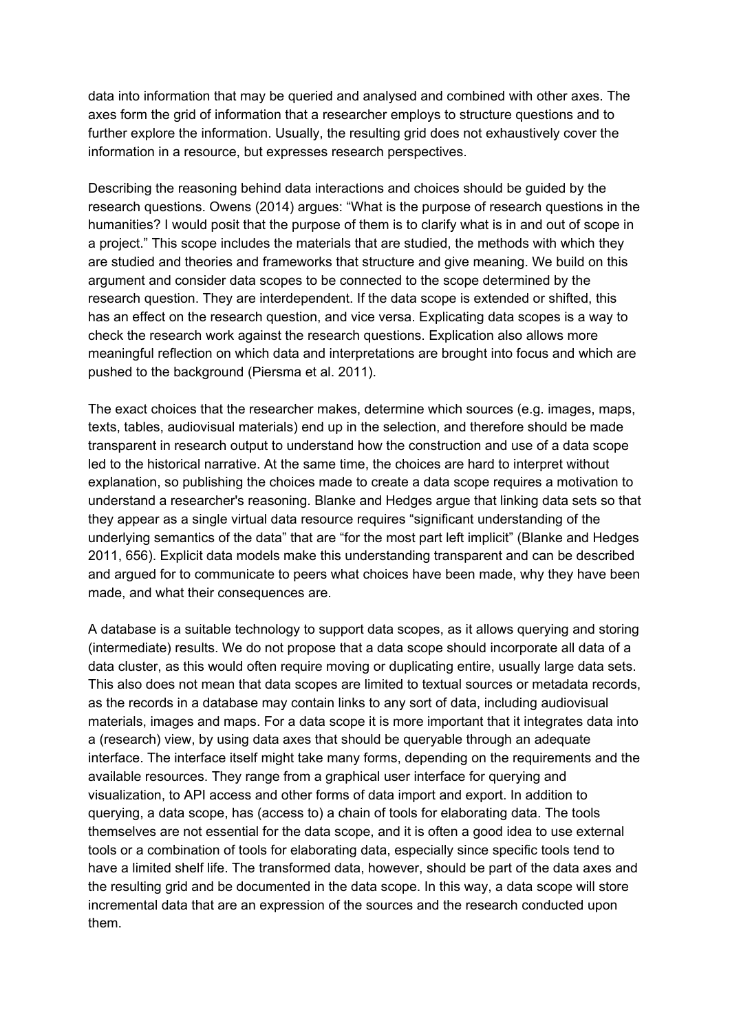data into information that may be queried and analysed and combined with other axes. The axes form the grid of information that a researcher employs to structure questions and to further explore the information. Usually, the resulting grid does not exhaustively cover the information in a resource, but expresses research perspectives.

Describing the reasoning behind data interactions and choices should be guided by the research questions. Owens (2014) argues: "What is the purpose of research questions in the humanities? I would posit that the purpose of them is to clarify what is in and out of scope in a project." This scope includes the materials that are studied, the methods with which they are studied and theories and frameworks that structure and give meaning. We build on this argument and consider data scopes to be connected to the scope determined by the research question. They are interdependent. If the data scope is extended or shifted, this has an effect on the research question, and vice versa. Explicating data scopes is a way to check the research work against the research questions. Explication also allows more meaningful reflection on which data and interpretations are brought into focus and which are pushed to the background (Piersma et al. 2011).

The exact choices that the researcher makes, determine which sources (e.g. images, maps, texts, tables, audiovisual materials) end up in the selection, and therefore should be made transparent in research output to understand how the construction and use of a data scope led to the historical narrative. At the same time, the choices are hard to interpret without explanation, so publishing the choices made to create a data scope requires a motivation to understand a researcher's reasoning. Blanke and Hedges argue that linking data sets so that they appear as a single virtual data resource requires "significant understanding of the underlying semantics of the data" that are "for the most part left implicit" (Blanke and Hedges 2011, 656). Explicit data models make this understanding transparent and can be described and argued for to communicate to peers what choices have been made, why they have been made, and what their consequences are.

A database is a suitable technology to support data scopes, as it allows querying and storing (intermediate) results. We do not propose that a data scope should incorporate all data of a data cluster, as this would often require moving or duplicating entire, usually large data sets. This also does not mean that data scopes are limited to textual sources or metadata records, as the records in a database may contain links to any sort of data, including audiovisual materials, images and maps. For a data scope it is more important that it integrates data into a (research) view, by using data axes that should be queryable through an adequate interface. The interface itself might take many forms, depending on the requirements and the available resources. They range from a graphical user interface for querying and visualization, to API access and other forms of data import and export. In addition to querying, a data scope, has (access to) a chain of tools for elaborating data. The tools themselves are not essential for the data scope, and it is often a good idea to use external tools or a combination of tools for elaborating data, especially since specific tools tend to have a limited shelf life. The transformed data, however, should be part of the data axes and the resulting grid and be documented in the data scope. In this way, a data scope will store incremental data that are an expression of the sources and the research conducted upon them.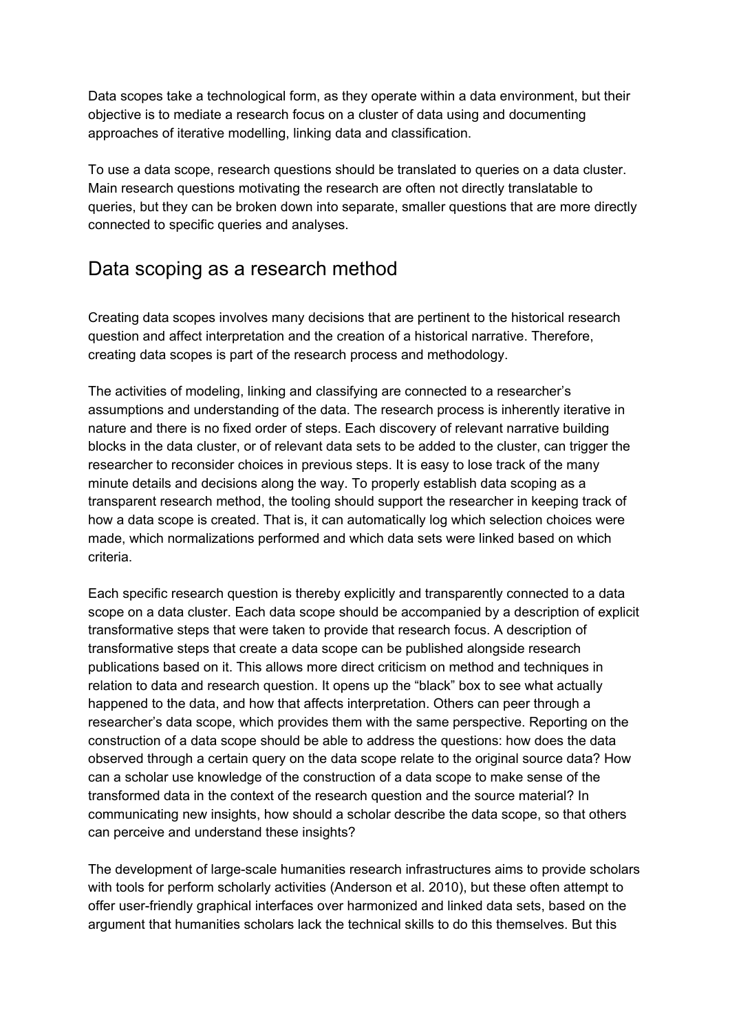Data scopes take a technological form, as they operate within a data environment, but their objective is to mediate a research focus on a cluster of data using and documenting approaches of iterative modelling, linking data and classification.

To use a data scope, research questions should be translated to queries on a data cluster. Main research questions motivating the research are often not directly translatable to queries, but they can be broken down into separate, smaller questions that are more directly connected to specific queries and analyses.

#### Data scoping as a research method

Creating data scopes involves many decisions that are pertinent to the historical research question and affect interpretation and the creation of a historical narrative. Therefore, creating data scopes is part of the research process and methodology.

The activities of modeling, linking and classifying are connected to a researcher's assumptions and understanding of the data. The research process is inherently iterative in nature and there is no fixed order of steps. Each discovery of relevant narrative building blocks in the data cluster, or of relevant data sets to be added to the cluster, can trigger the researcher to reconsider choices in previous steps. It is easy to lose track of the many minute details and decisions along the way. To properly establish data scoping as a transparent research method, the tooling should support the researcher in keeping track of how a data scope is created. That is, it can automatically log which selection choices were made, which normalizations performed and which data sets were linked based on which criteria.

Each specific research question is thereby explicitly and transparently connected to a data scope on a data cluster. Each data scope should be accompanied by a description of explicit transformative steps that were taken to provide that research focus. A description of transformative steps that create a data scope can be published alongside research publications based on it. This allows more direct criticism on method and techniques in relation to data and research question. It opens up the "black" box to see what actually happened to the data, and how that affects interpretation. Others can peer through a researcher's data scope, which provides them with the same perspective. Reporting on the construction of a data scope should be able to address the questions: how does the data observed through a certain query on the data scope relate to the original source data? How can a scholar use knowledge of the construction of a data scope to make sense of the transformed data in the context of the research question and the source material? In communicating new insights, how should a scholar describe the data scope, so that others can perceive and understand these insights?

The development of large-scale humanities research infrastructures aims to provide scholars with tools for perform scholarly activities (Anderson et al. 2010), but these often attempt to offer user-friendly graphical interfaces over harmonized and linked data sets, based on the argument that humanities scholars lack the technical skills to do this themselves. But this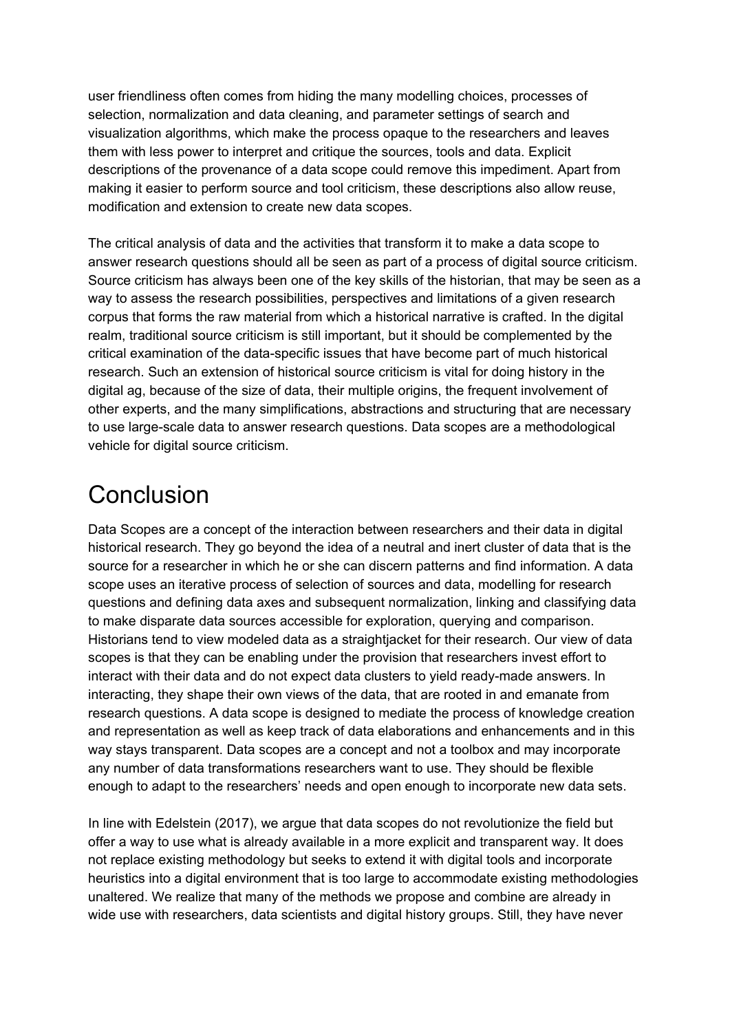user friendliness often comes from hiding the many modelling choices, processes of selection, normalization and data cleaning, and parameter settings of search and visualization algorithms, which make the process opaque to the researchers and leaves them with less power to interpret and critique the sources, tools and data. Explicit descriptions of the provenance of a data scope could remove this impediment. Apart from making it easier to perform source and tool criticism, these descriptions also allow reuse, modification and extension to create new data scopes.

The critical analysis of data and the activities that transform it to make a data scope to answer research questions should all be seen as part of a process of digital source criticism. Source criticism has always been one of the key skills of the historian, that may be seen as a way to assess the research possibilities, perspectives and limitations of a given research corpus that forms the raw material from which a historical narrative is crafted. In the digital realm, traditional source criticism is still important, but it should be complemented by the critical examination of the data-specific issues that have become part of much historical research. Such an extension of historical source criticism is vital for doing history in the digital ag, because of the size of data, their multiple origins, the frequent involvement of other experts, and the many simplifications, abstractions and structuring that are necessary to use large-scale data to answer research questions. Data scopes are a methodological vehicle for digital source criticism.

# **Conclusion**

Data Scopes are a concept of the interaction between researchers and their data in digital historical research. They go beyond the idea of a neutral and inert cluster of data that is the source for a researcher in which he or she can discern patterns and find information. A data scope uses an iterative process of selection of sources and data, modelling for research questions and defining data axes and subsequent normalization, linking and classifying data to make disparate data sources accessible for exploration, querying and comparison. Historians tend to view modeled data as a straightjacket for their research. Our view of data scopes is that they can be enabling under the provision that researchers invest effort to interact with their data and do not expect data clusters to yield ready-made answers. In interacting, they shape their own views of the data, that are rooted in and emanate from research questions. A data scope is designed to mediate the process of knowledge creation and representation as well as keep track of data elaborations and enhancements and in this way stays transparent. Data scopes are a concept and not a toolbox and may incorporate any number of data transformations researchers want to use. They should be flexible enough to adapt to the researchers' needs and open enough to incorporate new data sets.

In line with Edelstein (2017), we argue that data scopes do not revolutionize the field but offer a way to use what is already available in a more explicit and transparent way. It does not replace existing methodology but seeks to extend it with digital tools and incorporate heuristics into a digital environment that is too large to accommodate existing methodologies unaltered. We realize that many of the methods we propose and combine are already in wide use with researchers, data scientists and digital history groups. Still, they have never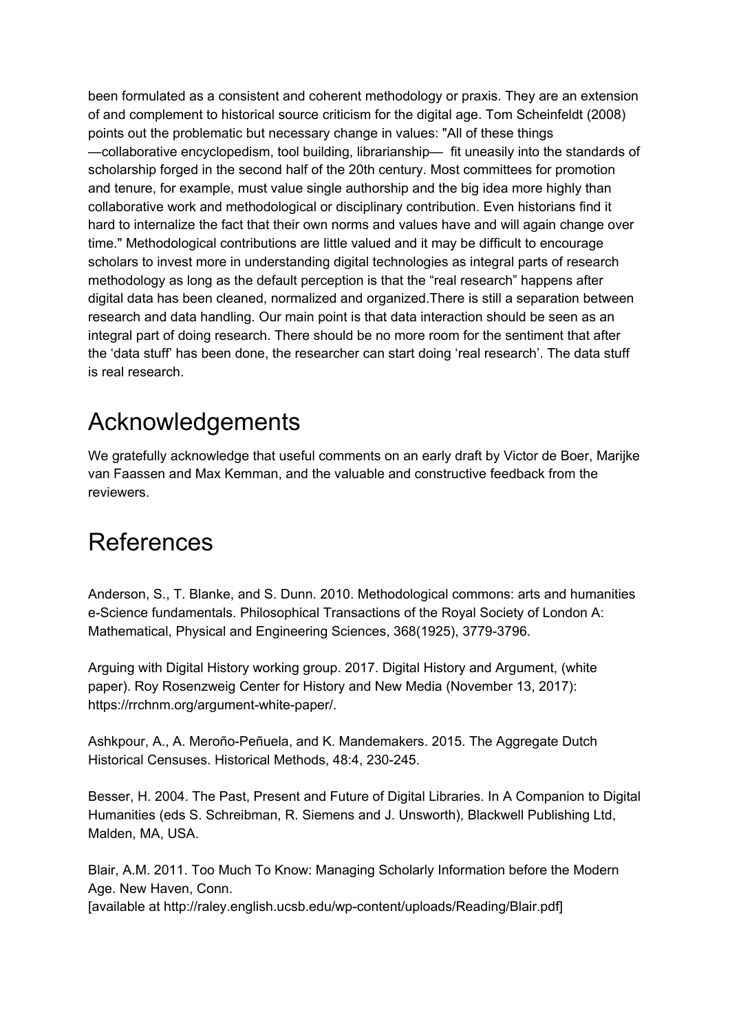been formulated as a consistent and coherent methodology or praxis. They are an extension of and complement to historical source criticism for the digital age. Tom Scheinfeldt (2008) points out the problematic but necessary change in values: "All of these things —collaborative encyclopedism, tool building, librarianship— fit uneasily into the standards of scholarship forged in the second half of the 20th century. Most committees for promotion and tenure, for example, must value single authorship and the big idea more highly than collaborative work and methodological or disciplinary contribution. Even historians find it hard to internalize the fact that their own norms and values have and will again change over time." Methodological contributions are little valued and it may be difficult to encourage scholars to invest more in understanding digital technologies as integral parts of research methodology as long as the default perception is that the "real research" happens after digital data has been cleaned, normalized and organized.There is still a separation between research and data handling. Our main point is that data interaction should be seen as an integral part of doing research. There should be no more room for the sentiment that after the 'data stuff' has been done, the researcher can start doing 'real research'. The data stuff is real research.

### Acknowledgements

We gratefully acknowledge that useful comments on an early draft by Victor de Boer, Marijke van Faassen and Max Kemman, and the valuable and constructive feedback from the reviewers.

# **References**

Anderson, S., T. Blanke, and S. Dunn. 2010. Methodological commons: arts and humanities e-Science fundamentals. Philosophical Transactions of the Royal Society of London A: Mathematical, Physical and Engineering Sciences, 368(1925), 3779-3796.

Arguing with Digital History working group. 2017. Digital History and Argument, (white paper). Roy Rosenzweig Center for History and New Media (November 13, 2017): https://rrchnm.org/argument-white-paper/.

Ashkpour, A., A. Meroño-Peñuela, and K. Mandemakers. 2015. The Aggregate Dutch Historical Censuses. Historical Methods, 48:4, 230-245.

Besser, H. 2004. The Past, Present and Future of Digital Libraries. In A Companion to Digital Humanities (eds S. Schreibman, R. Siemens and J. Unsworth), Blackwell Publishing Ltd, Malden, MA, USA.

Blair, A.M. 2011. Too Much To Know: Managing Scholarly Information before the Modern Age. New Haven, Conn.

[available at http://raley.english.ucsb.edu/wp-content/uploads/Reading/Blair.pdf]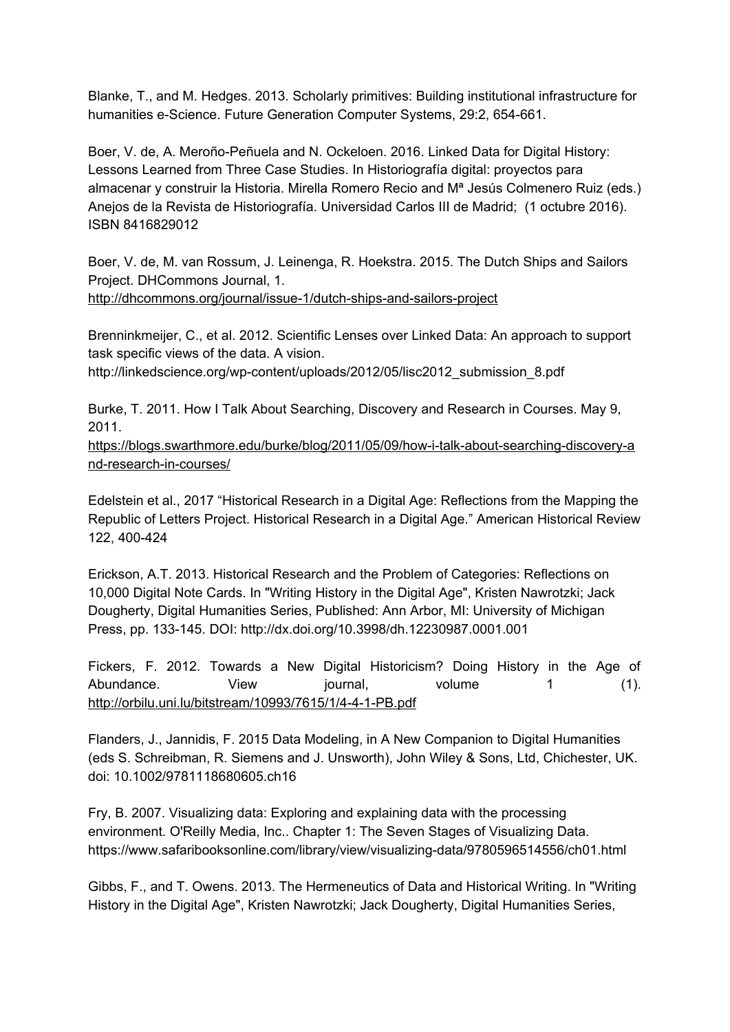Blanke, T., and M. Hedges. 2013. Scholarly primitives: Building institutional infrastructure for humanities e-Science. Future Generation Computer Systems, 29:2, 654-661.

Boer, V. de, A. Meroño-Peñuela and N. Ockeloen. 2016. Linked Data for Digital History: Lessons Learned from Three Case Studies. In Historiografía digital: proyectos para almacenar y construir la Historia. Mirella Romero Recio and Mª Jesús Colmenero Ruiz (eds.) Anejos de la Revista de Historiografía. Universidad Carlos III de Madrid; (1 octubre 2016). ISBN 8416829012

Boer, V. de, M. van Rossum, J. Leinenga, R. Hoekstra. 2015. The Dutch Ships and Sailors Project. DHCommons Journal, 1.

<http://dhcommons.org/journal/issue-1/dutch-ships-and-sailors-project>

Brenninkmeijer, C., et al. 2012. Scientific Lenses over Linked Data: An approach to support task specific views of the data. A vision.

http://linkedscience.org/wp-content/uploads/2012/05/lisc2012\_submission\_8.pdf

Burke, T. 2011. How I Talk About Searching, Discovery and Research in Courses. May 9, 2011.

[https://blogs.swarthmore.edu/burke/blog/2011/05/09/how-i-talk-about-searching-discovery-a](https://blogs.swarthmore.edu/burke/blog/2011/05/09/how-i-talk-about-searching-discovery-and-research-in-courses/) [nd-research-in-courses/](https://blogs.swarthmore.edu/burke/blog/2011/05/09/how-i-talk-about-searching-discovery-and-research-in-courses/)

Edelstein et al., 2017 "Historical Research in a Digital Age: Reflections from the Mapping the Republic of Letters Project. Historical Research in a Digital Age." American Historical Review 122, 400-424

Erickson, A.T. 2013. Historical Research and the Problem of Categories: Reflections on 10,000 Digital Note Cards. In "Writing History in the Digital Age", Kristen Nawrotzki; Jack Dougherty, Digital Humanities Series, Published: Ann Arbor, MI: University of Michigan Press, pp. 133-145. DOI: http://dx.doi.org/10.3998/dh.12230987.0001.001

Fickers, F. 2012. Towards a New Digital Historicism? Doing History in the Age of Abundance. View journal, volume 1 (1). <http://orbilu.uni.lu/bitstream/10993/7615/1/4-4-1-PB.pdf>

Flanders, J., Jannidis, F. 2015 Data Modeling, in A New Companion to Digital Humanities (eds S. Schreibman, R. Siemens and J. Unsworth), John Wiley & Sons, Ltd, Chichester, UK. doi: 10.1002/9781118680605.ch16

Fry, B. 2007. Visualizing data: Exploring and explaining data with the processing environment. O'Reilly Media, Inc.. Chapter 1: The Seven Stages of Visualizing Data. https://www.safaribooksonline.com/library/view/visualizing-data/9780596514556/ch01.html

Gibbs, F., and T. Owens. 2013. The Hermeneutics of Data and Historical Writing. In "Writing History in the Digital Age", Kristen Nawrotzki; Jack Dougherty, Digital Humanities Series,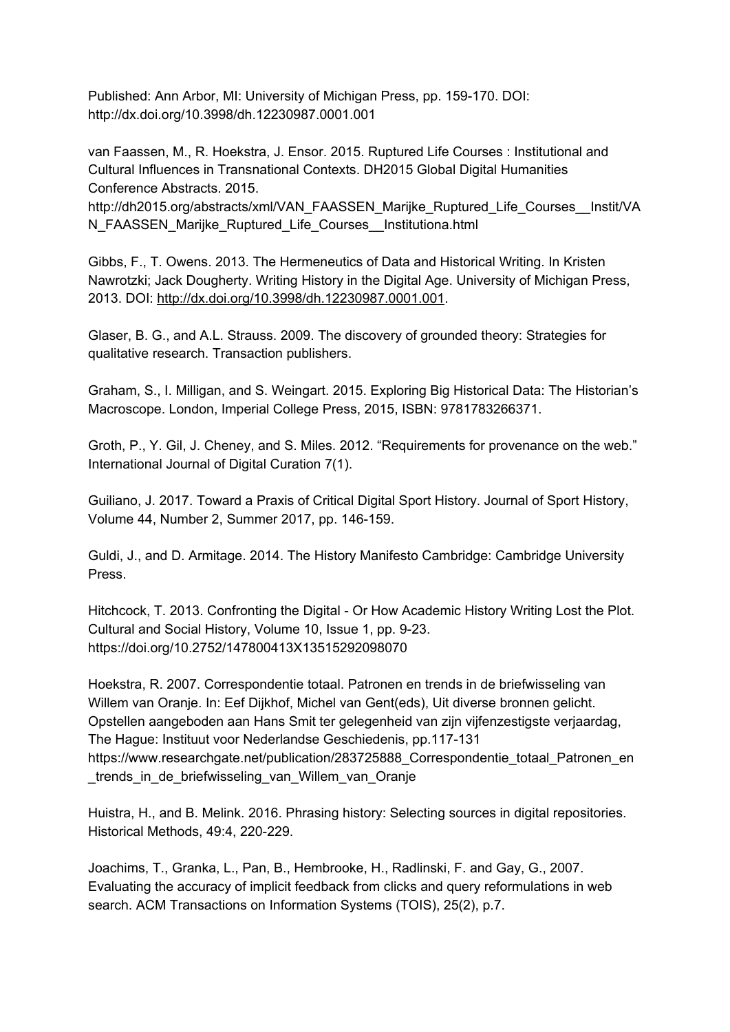Published: Ann Arbor, MI: University of Michigan Press, pp. 159-170. DOI: http://dx.doi.org/10.3998/dh.12230987.0001.001

van Faassen, M., R. Hoekstra, J. Ensor. 2015. Ruptured Life Courses : Institutional and Cultural Influences in Transnational Contexts. DH2015 Global Digital Humanities Conference Abstracts. 2015.

http://dh2015.org/abstracts/xml/VAN\_FAASSEN\_Marijke\_Ruptured\_Life\_Courses\_\_Instit/VA N\_FAASSEN\_Marijke\_Ruptured\_Life\_Courses\_\_Institutiona.html

Gibbs, F., T. Owens. 2013. The Hermeneutics of Data and Historical Writing. In Kristen Nawrotzki; Jack Dougherty. Writing History in the Digital Age. University of Michigan Press, 2013. DOI: <http://dx.doi.org/10.3998/dh.12230987.0001.001>.

Glaser, B. G., and A.L. Strauss. 2009. The discovery of grounded theory: Strategies for qualitative research. Transaction publishers.

Graham, S., I. Milligan, and S. Weingart. 2015. Exploring Big Historical Data: The Historian's Macroscope. London, Imperial College Press, 2015, ISBN: 9781783266371.

Groth, P., Y. Gil, J. Cheney, and S. Miles. 2012. "Requirements for provenance on the web." International Journal of Digital Curation 7(1).

Guiliano, J. 2017. Toward a Praxis of Critical Digital Sport History. Journal of Sport History, Volume 44, Number 2, Summer 2017, pp. 146-159.

Guldi, J., and D. Armitage. 2014. The History Manifesto Cambridge: Cambridge University Press.

Hitchcock, T. 2013. Confronting the Digital - Or How Academic History Writing Lost the Plot. Cultural and Social History, Volume 10, Issue 1, pp. 9-23. https://doi.org/10.2752/147800413X13515292098070

Hoekstra, R. 2007. Correspondentie totaal. Patronen en trends in de briefwisseling van Willem van Oranje. In: Eef Dijkhof, Michel van Gent(eds), Uit diverse bronnen gelicht. Opstellen aangeboden aan Hans Smit ter gelegenheid van zijn vijfenzestigste verjaardag, The Hague: Instituut voor Nederlandse Geschiedenis, pp.117-131 https://www.researchgate.net/publication/283725888 Correspondentie totaal Patronen en \_trends\_in\_de\_briefwisseling\_van\_Willem\_van\_Oranje

Huistra, H., and B. Melink. 2016. Phrasing history: Selecting sources in digital repositories. Historical Methods, 49:4, 220-229.

Joachims, T., Granka, L., Pan, B., Hembrooke, H., Radlinski, F. and Gay, G., 2007. Evaluating the accuracy of implicit feedback from clicks and query reformulations in web search. ACM Transactions on Information Systems (TOIS), 25(2), p.7.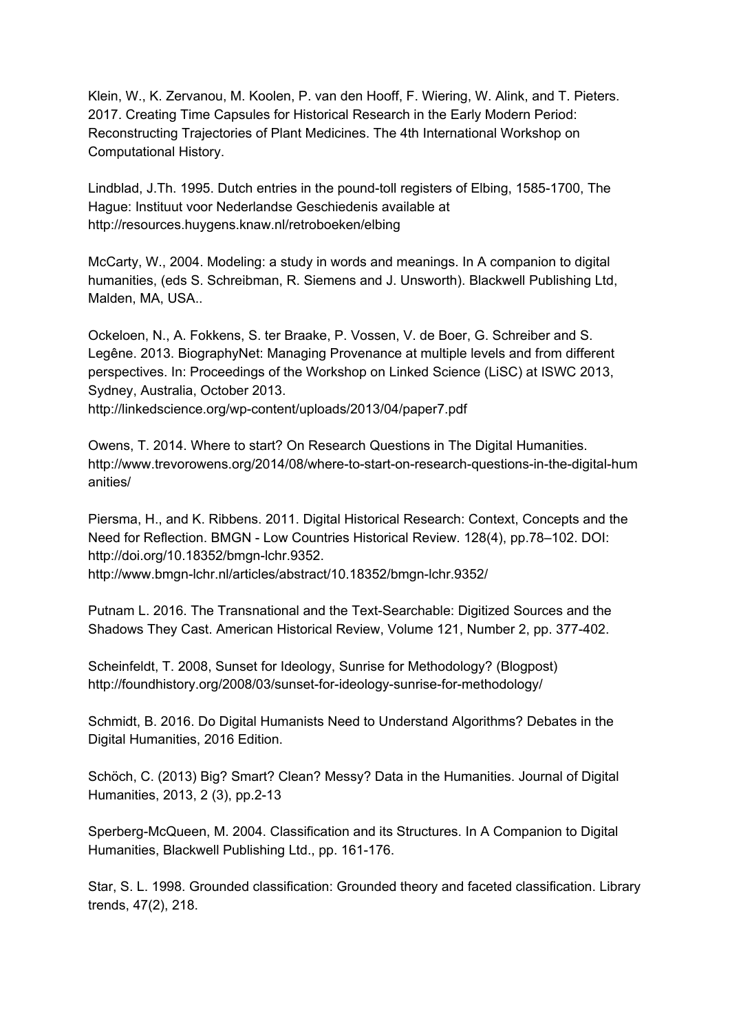Klein, W., K. Zervanou, M. Koolen, P. van den Hooff, F. Wiering, W. Alink, and T. Pieters. 2017. Creating Time Capsules for Historical Research in the Early Modern Period: Reconstructing Trajectories of Plant Medicines. The 4th International Workshop on Computational History.

Lindblad, J.Th. 1995. Dutch entries in the pound-toll registers of Elbing, 1585-1700, The Hague: Instituut voor Nederlandse Geschiedenis available at http://resources.huygens.knaw.nl/retroboeken/elbing

McCarty, W., 2004. Modeling: a study in words and meanings. In A companion to digital humanities, (eds S. Schreibman, R. Siemens and J. Unsworth). Blackwell Publishing Ltd, Malden, MA, USA..

Ockeloen, N., A. Fokkens, S. ter Braake, P. Vossen, V. de Boer, G. Schreiber and S. Legêne. 2013. BiographyNet: Managing Provenance at multiple levels and from different perspectives. In: Proceedings of the Workshop on Linked Science (LiSC) at ISWC 2013, Sydney, Australia, October 2013.

http://linkedscience.org/wp-content/uploads/2013/04/paper7.pdf

Owens, T. 2014. Where to start? On Research Questions in The Digital Humanities. http://www.trevorowens.org/2014/08/where-to-start-on-research-questions-in-the-digital-hum anities/

Piersma, H., and K. Ribbens. 2011. Digital Historical Research: Context, Concepts and the Need for Reflection. BMGN - Low Countries Historical Review. 128(4), pp.78–102. DOI: http://doi.org/10.18352/bmgn-lchr.9352. http://www.bmgn-lchr.nl/articles/abstract/10.18352/bmgn-lchr.9352/

Putnam L. 2016. The Transnational and the Text-Searchable: Digitized Sources and the Shadows They Cast. American Historical Review, Volume 121, Number 2, pp. 377-402.

Scheinfeldt, T. 2008, Sunset for Ideology, Sunrise for Methodology? (Blogpost) http://foundhistory.org/2008/03/sunset-for-ideology-sunrise-for-methodology/

Schmidt, B. 2016. Do Digital Humanists Need to Understand Algorithms? Debates in the Digital Humanities, 2016 Edition.

Schöch, C. (2013) Big? Smart? Clean? Messy? Data in the Humanities. Journal of Digital Humanities, 2013, 2 (3), pp.2-13

Sperberg-McQueen, M. 2004. Classification and its Structures. In A Companion to Digital Humanities, Blackwell Publishing Ltd., pp. 161-176.

Star, S. L. 1998. Grounded classification: Grounded theory and faceted classification. Library trends, 47(2), 218.